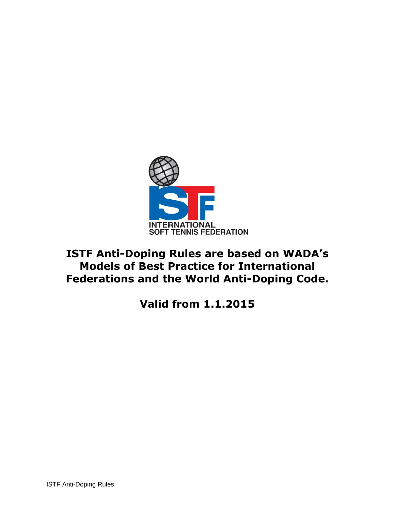

# **ISTF Anti-Doping Rules are based on WADA's Models of Best Practice for International Federations and the World Anti-Doping Code.**

**Valid from 1.1.2015**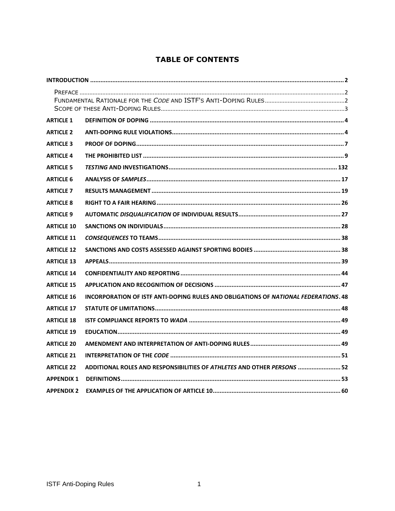# **TABLE OF CONTENTS**

| <b>ARTICLE 1</b>  |                                                                                     |
|-------------------|-------------------------------------------------------------------------------------|
| <b>ARTICLE 2</b>  |                                                                                     |
| <b>ARTICLE 3</b>  |                                                                                     |
| <b>ARTICLE 4</b>  |                                                                                     |
| <b>ARTICLE 5</b>  |                                                                                     |
| <b>ARTICLE 6</b>  |                                                                                     |
| <b>ARTICLE 7</b>  |                                                                                     |
| <b>ARTICLE 8</b>  |                                                                                     |
| <b>ARTICLE 9</b>  |                                                                                     |
| <b>ARTICLE 10</b> |                                                                                     |
| <b>ARTICLE 11</b> |                                                                                     |
| <b>ARTICLE 12</b> |                                                                                     |
| <b>ARTICLE 13</b> |                                                                                     |
| <b>ARTICLE 14</b> |                                                                                     |
| <b>ARTICLE 15</b> |                                                                                     |
| <b>ARTICLE 16</b> | INCORPORATION OF ISTF ANTI-DOPING RULES AND OBLIGATIONS OF NATIONAL FEDERATIONS. 48 |
| <b>ARTICLE 17</b> |                                                                                     |
| <b>ARTICLE 18</b> |                                                                                     |
| <b>ARTICLE 19</b> |                                                                                     |
| <b>ARTICLE 20</b> |                                                                                     |
| <b>ARTICLE 21</b> |                                                                                     |
| <b>ARTICLE 22</b> | ADDITIONAL ROLES AND RESPONSIBILITIES OF ATHLETES AND OTHER PERSONS  52             |
| <b>APPENDIX 1</b> |                                                                                     |
| <b>APPENDIX 2</b> |                                                                                     |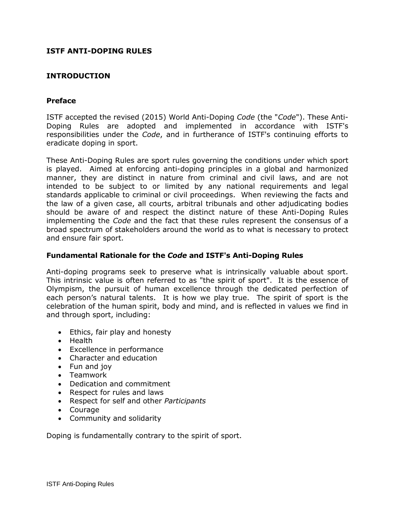## **ISTF ANTI-DOPING RULES**

## <span id="page-2-0"></span>**INTRODUCTION**

#### <span id="page-2-1"></span>**Preface**

ISTF accepted the revised (2015) World Anti-Doping *Code* (the "*Code*"). These Anti-Doping Rules are adopted and implemented in accordance with ISTF's responsibilities under the *Code*, and in furtherance of ISTF's continuing efforts to eradicate doping in sport.

These Anti-Doping Rules are sport rules governing the conditions under which sport is played.Aimed at enforcing anti-doping principles in a global and harmonized manner, they are distinct in nature from criminal and civil laws, and are not intended to be subject to or limited by any national requirements and legal standards applicable to criminal or civil proceedings. When reviewing the facts and the law of a given case, all courts, arbitral tribunals and other adjudicating bodies should be aware of and respect the distinct nature of these Anti-Doping Rules implementing the *Code* and the fact that these rules represent the consensus of a broad spectrum of stakeholders around the world as to what is necessary to protect and ensure fair sport.

#### <span id="page-2-2"></span>**Fundamental Rationale for the** *Code* **and ISTF's Anti-Doping Rules**

Anti-doping programs seek to preserve what is intrinsically valuable about sport. This intrinsic value is often referred to as "the spirit of sport". It is the essence of Olympism, the pursuit of human excellence through the dedicated perfection of each person's natural talents. It is how we play true. The spirit of sport is the celebration of the human spirit, body and mind, and is reflected in values we find in and through sport, including:

- Ethics, fair play and honesty
- Health
- Excellence in performance
- Character and education
- Fun and joy
- Teamwork
- Dedication and commitment
- Respect for rules and laws
- Respect for self and other *Participants*
- Courage
- Community and solidarity

Doping is fundamentally contrary to the spirit of sport.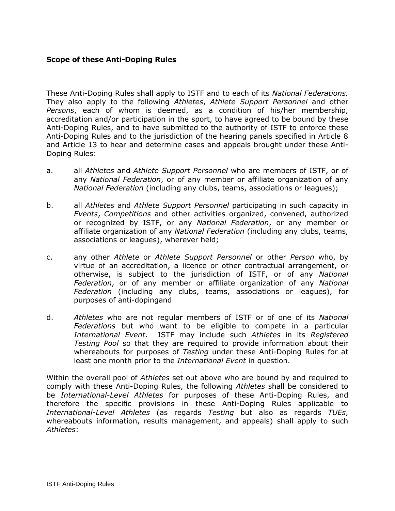#### <span id="page-3-0"></span>**Scope of these Anti-Doping Rules**

These Anti-Doping Rules shall apply to ISTF and to each of its *National Federations.*  They also apply to the following *Athletes*, *Athlete Support Personnel* and other *Persons*, each of whom is deemed, as a condition of his/her membership, accreditation and/or participation in the sport, to have agreed to be bound by these Anti-Doping Rules, and to have submitted to the authority of ISTF to enforce these Anti-Doping Rules and to the jurisdiction of the hearing panels specified in Article 8 and Article 13 to hear and determine cases and appeals brought under these Anti-Doping Rules:

- a. all *Athletes* and *Athlete Support Personnel* who are members of ISTF, or of any *National Federation*, or of any member or affiliate organization of any *National Federation* (including any clubs, teams, associations or leagues);
- b. all *Athletes* and *Athlete Support Personnel* participating in such capacity in *Events*, *Competitions* and other activities organized, convened, authorized or recognized by ISTF, or any *National Federation*, or any member or affiliate organization of any *National Federation* (including any clubs, teams, associations or leagues), wherever held;
- c. any other *Athlete* or *Athlete Support Personnel* or other *Person* who, by virtue of an accreditation, a licence or other contractual arrangement, or otherwise, is subject to the jurisdiction of ISTF, or of any *National Federation*, or of any member or affiliate organization of any *National Federation* (including any clubs, teams, associations or leagues), for purposes of anti-dopingand
- d. *Athletes* who are not regular members of ISTF or of one of its *National Federations* but who want to be eligible to compete in a particular *International Event*. ISTF may include such *Athletes* in its *Registered Testing Pool* so that they are required to provide information about their whereabouts for purposes of *Testing* under these Anti-Doping Rules for at least one month prior to the *International Event* in question.

Within the overall pool of *Athletes* set out above who are bound by and required to comply with these Anti-Doping Rules, the following *Athletes* shall be considered to be *International-Level Athletes* for purposes of these Anti-Doping Rules, and therefore the specific provisions in these Anti-Doping Rules applicable to *International-Level Athletes* (as regards *Testing* but also as regards *TUEs*, whereabouts information, results management, and appeals) shall apply to such *Athletes*: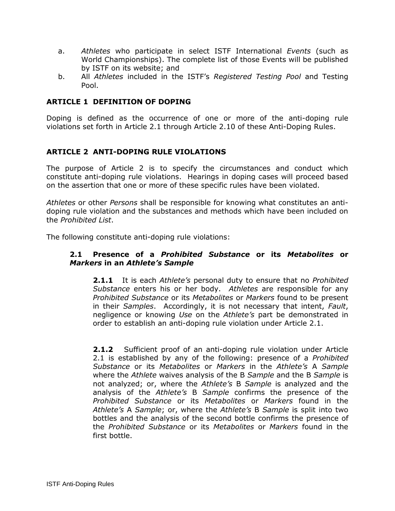- a. *Athletes* who participate in select ISTF International *Events* (such as World Championships). The complete list of those Events will be published by ISTF on its website; and
- b. All *Athletes* included in the ISTF's *Registered Testing Pool* and Testing Pool.

## <span id="page-4-0"></span>**ARTICLE 1 DEFINITION OF DOPING**

Doping is defined as the occurrence of one or more of the anti-doping rule violations set forth in Article 2.1 through Article 2.10 of these Anti-Doping Rules.

## <span id="page-4-1"></span>**ARTICLE 2 ANTI-DOPING RULE VIOLATIONS**

The purpose of Article 2 is to specify the circumstances and conduct which constitute anti-doping rule violations. Hearings in doping cases will proceed based on the assertion that one or more of these specific rules have been violated.

*Athletes* or other *Persons* shall be responsible for knowing what constitutes an antidoping rule violation and the substances and methods which have been included on the *Prohibited List*.

The following constitute anti-doping rule violations:

#### **2.1 Presence of a** *Prohibited Substance* **or its** *Metabolites* **or**  *Markers* **in an** *Athlete's Sample*

**2.1.1** It is each *Athlete's* personal duty to ensure that no *Prohibited Substance* enters his or her body. *Athletes* are responsible for any *Prohibited Substance* or its *Metabolites* or *Markers* found to be present in their *Samples*. Accordingly, it is not necessary that intent, *Fault*, negligence or knowing *Use* on the *Athlete's* part be demonstrated in order to establish an anti-doping rule violation under Article 2.1.

**2.1.2** Sufficient proof of an anti-doping rule violation under Article 2.1 is established by any of the following: presence of a *Prohibited Substance* or its *Metabolites* or *Markers* in the *Athlete's* A *Sample* where the *Athlete* waives analysis of the B *Sample* and the B *Sample* is not analyzed; or, where the *Athlete's* B *Sample* is analyzed and the analysis of the *Athlete's* B *Sample* confirms the presence of the *Prohibited Substance* or its *Metabolites* or *Markers* found in the *Athlete's* A *Sample*; or, where the *Athlete's* B *Sample* is split into two bottles and the analysis of the second bottle confirms the presence of the *Prohibited Substance* or its *Metabolites* or *Markers* found in the first bottle.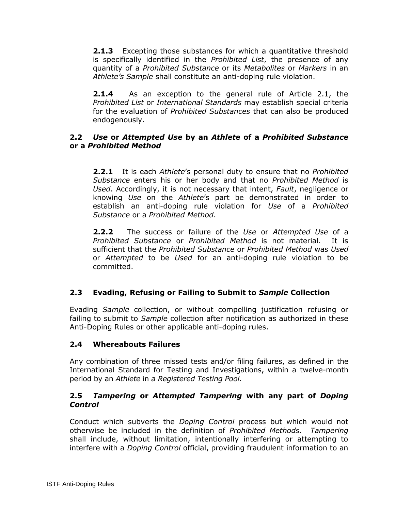**2.1.3** Excepting those substances for which a quantitative threshold is specifically identified in the *Prohibited List*, the presence of any quantity of a *Prohibited Substance* or its *Metabolites* or *Markers* in an *Athlete's Sample* shall constitute an anti-doping rule violation.

**2.1.4** As an exception to the general rule of Article 2.1, the *Prohibited List* or *International Standards* may establish special criteria for the evaluation of *Prohibited Substances* that can also be produced endogenously.

## **2.2** *Use* **or** *Attempted Use* **by an** *Athlete* **of a** *Prohibited Substance* **or a** *Prohibited Method*

**2.2.1** It is each *Athlete*'s personal duty to ensure that no *Prohibited Substance* enters his or her body and that no *Prohibited Method* is *Used*. Accordingly, it is not necessary that intent, *Fault*, negligence or knowing *Use* on the *Athlete*'s part be demonstrated in order to establish an anti-doping rule violation for *Use* of a *Prohibited Substance* or a *Prohibited Method*.

**2.2.2** The success or failure of the *Use* or *Attempted Use* of a *Prohibited Substance* or *Prohibited Method* is not material. It is sufficient that the *Prohibited Substance* or *Prohibited Method* was *Used* or *Attempted* to be *Used* for an anti-doping rule violation to be committed.

# **2.3 Evading, Refusing or Failing to Submit to** *Sample* **Collection**

Evading *Sample* collection, or without compelling justification refusing or failing to submit to *Sample* collection after notification as authorized in these Anti-Doping Rules or other applicable anti-doping rules.

# **2.4 Whereabouts Failures**

Any combination of three missed tests and/or filing failures, as defined in the International Standard for Testing and Investigations, within a twelve-month period by an *Athlete* in *a Registered Testing Pool.*

## **2.5** *Tampering* **or** *Attempted Tampering* **with any part of** *Doping Control*

Conduct which subverts the *Doping Control* process but which would not otherwise be included in the definition of *Prohibited Methods. Tampering* shall include, without limitation, intentionally interfering or attempting to interfere with a *Doping Control* official, providing fraudulent information to an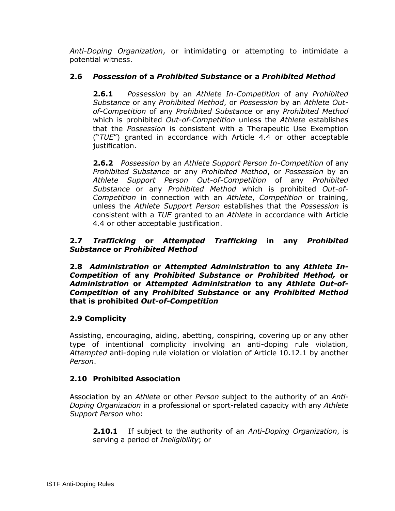*Anti-Doping Organization*, or intimidating or attempting to intimidate a potential witness.

# **2.6** *Possession* **of a** *Prohibited Substance* **or a** *Prohibited Method*

**2.6.1** *Possession* by an *Athlete In-Competition* of any *Prohibited Substance* or any *Prohibited Method*, or *Possession* by an *Athlete Outof-Competition* of any *Prohibited Substance* or any *Prohibited Method*  which is prohibited *Out-of-Competition* unless the *Athlete* establishes that the *Possession* is consistent with a Therapeutic Use Exemption ("*TUE*") granted in accordance with Article 4.4 or other acceptable justification.

**2.6.2** *Possession* by an *Athlete Support Person In-Competition* of any *Prohibited Substance* or any *Prohibited Method*, or *Possession* by an *Athlete Support Person Out-of-Competition* of any *Prohibited Substance* or any *Prohibited Method* which is prohibited *Out-of-Competition* in connection with an *Athlete*, *Competition* or training, unless the *Athlete Support Person* establishes that the *Possession* is consistent with a *TUE* granted to an *Athlete* in accordance with Article 4.4 or other acceptable justification.

## **2.7** *Trafficking* **or** *Attempted Trafficking* **in any** *Prohibited Substance* **or** *Prohibited Method*

**2.8** *Administration* **or** *Attempted Administration* **to any** *Athlete In-Competition* **of any** *Prohibited Substance or Prohibited Method,* **or**  *Administration* **or** *Attempted Administration* **to any** *Athlete Out-of-Competition* **of any** *Prohibited Substance* **or any** *Prohibited Method*  **that is prohibited** *Out-of-Competition*

## **2.9 Complicity**

Assisting, encouraging, aiding, abetting, conspiring, covering up or any other type of intentional complicity involving an anti-doping rule violation, *Attempted* anti-doping rule violation or violation of Article 10.12.1 by another *Person*.

## **2.10 Prohibited Association**

Association by an *Athlete* or other *Person* subject to the authority of an *Anti-Doping Organization* in a professional or sport-related capacity with any *Athlete Support Person* who:

**2.10.1** If subject to the authority of an *Anti-Doping Organization*, is serving a period of *Ineligibility*; or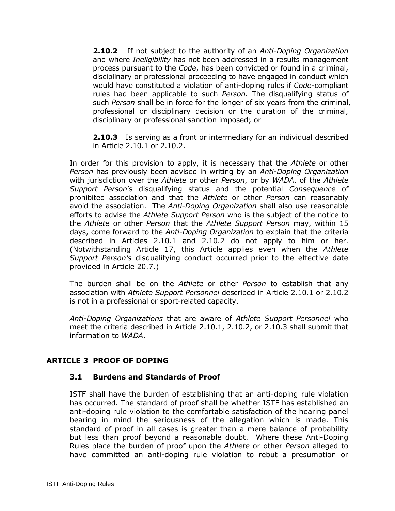**2.10.2** If not subject to the authority of an *Anti-Doping Organization* and where *Ineligibility* has not been addressed in a results management process pursuant to the *Code*, has been convicted or found in a criminal, disciplinary or professional proceeding to have engaged in conduct which would have constituted a violation of anti-doping rules if *Code*-compliant rules had been applicable to such *Person.* The disqualifying status of such *Person* shall be in force for the longer of six years from the criminal, professional or disciplinary decision or the duration of the criminal, disciplinary or professional sanction imposed; or

**2.10.3** Is serving as a front or intermediary for an individual described in Article 2.10.1 or 2.10.2.

In order for this provision to apply, it is necessary that the *Athlete* or other *Person* has previously been advised in writing by an *Anti-Doping Organization* with jurisdiction over the *Athlete* or other *Person*, or by *WADA*, of the *Athlete Support Person*'s disqualifying status and the potential *Consequence* of prohibited association and that the *Athlete* or other *Person* can reasonably avoid the association. The *Anti-Doping Organization* shall also use reasonable efforts to advise the *Athlete Support Person* who is the subject of the notice to the *Athlete* or other *Person* that the *Athlete Support Person* may, within 15 days, come forward to the *Anti-Doping Organization* to explain that the criteria described in Articles 2.10.1 and 2.10.2 do not apply to him or her. (Notwithstanding Article 17, this Article applies even when the *Athlete Support Person's* disqualifying conduct occurred prior to the effective date provided in Article 20.7.)

The burden shall be on the *Athlete* or other *Person* to establish that any association with *Athlete Support Personnel* described in Article 2.10.1 or 2.10.2 is not in a professional or sport-related capacity.

*Anti-Doping Organizations* that are aware of *Athlete Support Personnel* who meet the criteria described in Article 2.10.1, 2.10.2, or 2.10.3 shall submit that information to *WADA*.

## <span id="page-7-0"></span>**ARTICLE 3 PROOF OF DOPING**

## **3.1 Burdens and Standards of Proof**

ISTF shall have the burden of establishing that an anti-doping rule violation has occurred. The standard of proof shall be whether ISTF has established an anti-doping rule violation to the comfortable satisfaction of the hearing panel bearing in mind the seriousness of the allegation which is made. This standard of proof in all cases is greater than a mere balance of probability but less than proof beyond a reasonable doubt. Where these Anti-Doping Rules place the burden of proof upon the *Athlete* or other *Person* alleged to have committed an anti-doping rule violation to rebut a presumption or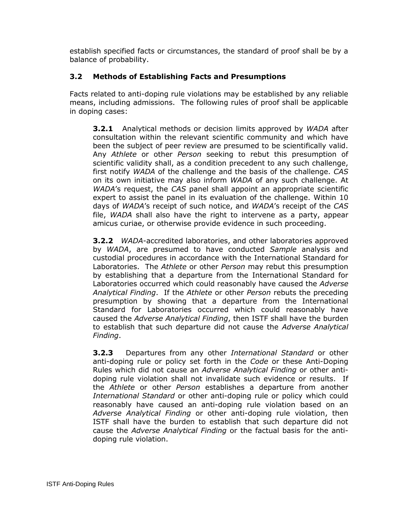establish specified facts or circumstances, the standard of proof shall be by a balance of probability.

# **3.2 Methods of Establishing Facts and Presumptions**

Facts related to anti-doping rule violations may be established by any reliable means, including admissions. The following rules of proof shall be applicable in doping cases:

**3.2.1** Analytical methods or decision limits approved by *WADA* after consultation within the relevant scientific community and which have been the subject of peer review are presumed to be scientifically valid. Any *Athlete* or other *Person* seeking to rebut this presumption of scientific validity shall, as a condition precedent to any such challenge, first notify *WADA* of the challenge and the basis of the challenge. *CAS* on its own initiative may also inform *WADA* of any such challenge. At *WADA*'s request, the *CAS* panel shall appoint an appropriate scientific expert to assist the panel in its evaluation of the challenge. Within 10 days of *WADA*'s receipt of such notice, and *WADA*'s receipt of the *CAS* file, *WADA* shall also have the right to intervene as a party, appear amicus curiae, or otherwise provide evidence in such proceeding.

**3.2.2** *WADA*-accredited laboratories, and other laboratories approved by *WADA*, are presumed to have conducted *Sample* analysis and custodial procedures in accordance with the International Standard for Laboratories. The *Athlete* or other *Person* may rebut this presumption by establishing that a departure from the International Standard for Laboratories occurred which could reasonably have caused the *Adverse Analytical Finding*. If the *Athlete* or other *Person* rebuts the preceding presumption by showing that a departure from the International Standard for Laboratories occurred which could reasonably have caused the *Adverse Analytical Finding*, then ISTF shall have the burden to establish that such departure did not cause the *Adverse Analytical Finding*.

**3.2.3** Departures from any other *International Standard* or other anti-doping rule or policy set forth in the *Code* or these Anti-Doping Rules which did not cause an *Adverse Analytical Finding* or other antidoping rule violation shall not invalidate such evidence or results. If the *Athlete* or other *Person* establishes a departure from another *International Standard* or other anti-doping rule or policy which could reasonably have caused an anti-doping rule violation based on an *Adverse Analytical Finding* or other anti-doping rule violation, then ISTF shall have the burden to establish that such departure did not cause the *Adverse Analytical Finding* or the factual basis for the antidoping rule violation.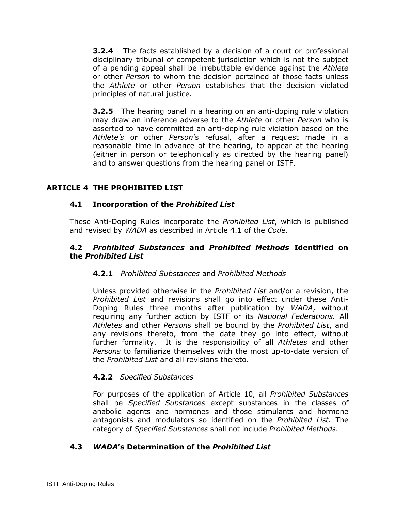**3.2.4** The facts established by a decision of a court or professional disciplinary tribunal of competent jurisdiction which is not the subject of a pending appeal shall be irrebuttable evidence against the *Athlete* or other *Person* to whom the decision pertained of those facts unless the *Athlete* or other *Person* establishes that the decision violated principles of natural justice.

**3.2.5** The hearing panel in a hearing on an anti-doping rule violation may draw an inference adverse to the *Athlete* or other *Person* who is asserted to have committed an anti-doping rule violation based on the *Athlete's* or other *Person*'s refusal, after a request made in a reasonable time in advance of the hearing, to appear at the hearing (either in person or telephonically as directed by the hearing panel) and to answer questions from the hearing panel or ISTF.

# <span id="page-9-0"></span>**ARTICLE 4 THE PROHIBITED LIST**

## **4.1 Incorporation of the** *Prohibited List*

These Anti-Doping Rules incorporate the *Prohibited List*, which is published and revised by *WADA* as described in Article 4.1 of the *Code*.

#### **4.2** *Prohibited Substances* **and** *Prohibited Methods* **Identified on the** *Prohibited List*

## **4.2.1** *Prohibited Substances* and *Prohibited Methods*

Unless provided otherwise in the *Prohibited List* and/or a revision, the *Prohibited List* and revisions shall go into effect under these Anti-Doping Rules three months after publication by *WADA*, without requiring any further action by ISTF or its *National Federations.* All *Athletes* and other *Persons* shall be bound by the *Prohibited List*, and any revisions thereto, from the date they go into effect, without further formality. It is the responsibility of all *Athletes* and other *Persons* to familiarize themselves with the most up-to-date version of the *Prohibited List* and all revisions thereto.

## **4.2.2** *Specified Substances*

For purposes of the application of Article 10, all *Prohibited Substances* shall be *Specified Substances* except substances in the classes of anabolic agents and hormones and those stimulants and hormone antagonists and modulators so identified on the *Prohibited List*. The category of *Specified Substances* shall not include *Prohibited Methods*.

## **4.3** *WADA***'s Determination of the** *Prohibited List*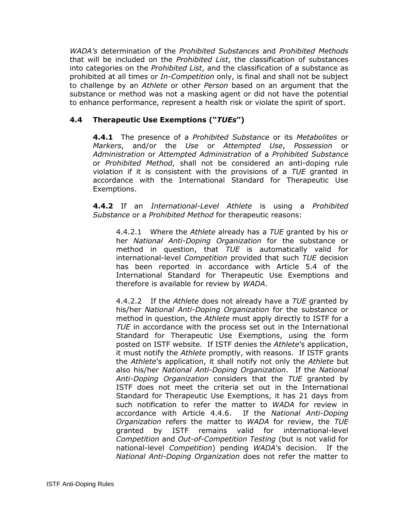*WADA's* determination of the *Prohibited Substances* and *Prohibited Methods* that will be included on the *Prohibited List*, the classification of substances into categories on the *Prohibited List*, and the classification of a substance as prohibited at all times or *In-Competition* only, is final and shall not be subject to challenge by an *Athlete* or other *Person* based on an argument that the substance or method was not a masking agent or did not have the potential to enhance performance, represent a health risk or violate the spirit of sport.

# **4.4 Therapeutic Use Exemptions ("***TUEs***")**

**4.4.1** The presence of a *Prohibited Substance* or its *Metabolites* or *Markers*, and/or the *Use* or *Attempted Use*, *Possession* or *Administration* or *Attempted Administration* of a *Prohibited Substance* or *Prohibited Method*, shall not be considered an anti-doping rule violation if it is consistent with the provisions of a *TUE* granted in accordance with the International Standard for Therapeutic Use Exemptions.

**4.4.2** If an *International-Level Athlete* is using a *Prohibited Substance* or a *Prohibited Method* for therapeutic reasons:

4.4.2.1 Where the *Athlete* already has a *TUE* granted by his or her *National Anti-Doping Organization* for the substance or method in question, that *TUE* is automatically valid for international-level *Competition* provided that such *TUE* decision has been reported in accordance with Article 5.4 of the International Standard for Therapeutic Use Exemptions and therefore is available for review by *WADA*.

4.4.2.2 If the *Athlete* does not already have a *TUE* granted by his/her *National Anti-Doping Organization* for the substance or method in question, the *Athlete* must apply directly to ISTF for a *TUE* in accordance with the process set out in the International Standard for Therapeutic Use Exemptions, using the form posted on ISTF website. If ISTF denies the *Athlete*'s application, it must notify the *Athlete* promptly, with reasons. If ISTF grants the *Athlete*'s application, it shall notify not only the *Athlete* but also his/her *National Anti-Doping Organization*. If the *National Anti-Doping Organization* considers that the *TUE* granted by ISTF does not meet the criteria set out in the International Standard for Therapeutic Use Exemptions, it has 21 days from such notification to refer the matter to *WADA* for review in accordance with Article 4.4.6. If the *National Anti-Doping Organization* refers the matter to *WADA* for review, the *TUE* granted by ISTF remains valid for international-level *Competition* and *Out-of-Competition Testing* (but is not valid for national-level *Competition*) pending *WADA*'s decision. If the *National Anti-Doping Organization* does not refer the matter to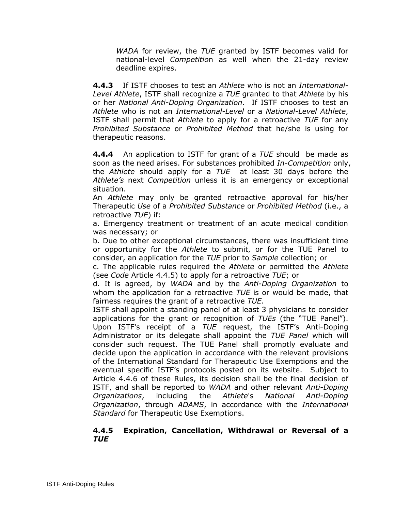*WADA* for review, the *TUE* granted by ISTF becomes valid for national-level *Competitio*n as well when the 21-day review deadline expires.

**4.4.3** If ISTF chooses to test an *Athlete* who is not an *International-Level Athlete*, ISTF shall recognize a *TUE* granted to that *Athlete* by his or her *National Anti-Doping Organization*. If ISTF chooses to test an *Athlete* who is not an *International-Level* or a *National-Level Athlete*, ISTF shall permit that *Athlete* to apply for a retroactive *TUE* for any *Prohibited Substance* or *Prohibited Method* that he/she is using for therapeutic reasons.

**4.4.4** An application to ISTF for grant of a *TUE* should be made as soon as the need arises. For substances prohibited *In-Competition* only, the *Athlete* should apply for a *TUE* at least 30 days before the *Athlete's* next *Competition* unless it is an emergency or exceptional situation.

An *Athlete* may only be granted retroactive approval for his/her Therapeutic *Use* of a *Prohibited Substance* or *Prohibited Method* (i.e., a retroactive *TUE*) if:

a. Emergency treatment or treatment of an acute medical condition was necessary; or

b. Due to other exceptional circumstances, there was insufficient time or opportunity for the *Athlete* to submit, or for the TUE Panel to consider, an application for the *TUE* prior to *Sample* collection; or

c. The applicable rules required the *Athlete* or permitted the *Athlete*  (see *Code* Article 4.4.5) to apply for a retroactive *TUE*; or

d. It is agreed, by *WADA* and by the *Anti-Doping Organization* to whom the application for a retroactive *TUE* is or would be made, that fairness requires the grant of a retroactive *TUE*.

ISTF shall appoint a standing panel of at least 3 physicians to consider applications for the grant or recognition of *TUEs* (the "TUE Panel"). Upon ISTF's receipt of a *TUE* request, the ISTF's Anti-Doping Administrator or its delegate shall appoint the *TUE Panel* which will consider such request. The TUE Panel shall promptly evaluate and decide upon the application in accordance with the relevant provisions of the International Standard for Therapeutic Use Exemptions and the eventual specific ISTF's protocols posted on its website. Subject to Article 4.4.6 of these Rules, its decision shall be the final decision of ISTF, and shall be reported to *WADA* and other relevant *Anti-Doping Organizations*, including the *Athlete*'s *National Anti-Doping Organization*, through *ADAMS*, in accordance with the *International Standard* for Therapeutic Use Exemptions.

#### **4.4.5 Expiration, Cancellation, Withdrawal or Reversal of a**  *TUE*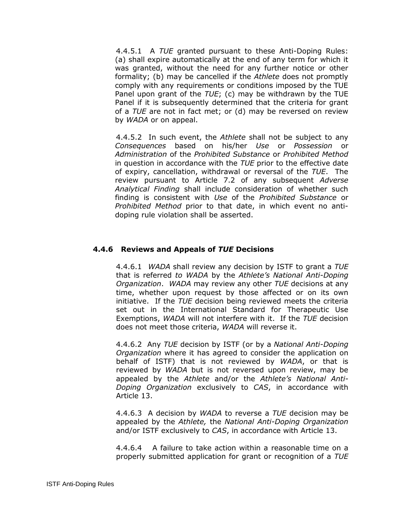4.4.5.1 A *TUE* granted pursuant to these Anti-Doping Rules: (a) shall expire automatically at the end of any term for which it was granted, without the need for any further notice or other formality; (b) may be cancelled if the *Athlete* does not promptly comply with any requirements or conditions imposed by the TUE Panel upon grant of the *TUE*; (c) may be withdrawn by the TUE Panel if it is subsequently determined that the criteria for grant of a *TUE* are not in fact met; or (d) may be reversed on review by *WADA* or on appeal.

4.4.5.2 In such event, the *Athlete* shall not be subject to any *Consequences* based on his/her *Use* or *Possession* or *Administration* of the *Prohibited Substance* or *Prohibited Method* in question in accordance with the *TUE* prior to the effective date of expiry, cancellation, withdrawal or reversal of the *TUE*. The review pursuant to Article 7.2 of any subsequent *Adverse Analytical Finding* shall include consideration of whether such finding is consistent with *Use* of the *Prohibited Substance* or *Prohibited Method* prior to that date, in which event no antidoping rule violation shall be asserted.

## **4.4.6 Reviews and Appeals of** *TUE* **Decisions**

4.4.6.1*WADA* shall review any decision by ISTF to grant a *TUE* that is referred *to WADA* by the *Athlete's National Anti-Doping Organization*. *WADA* may review any other *TUE* decisions at any time, whether upon request by those affected or on its own initiative. If the *TUE* decision being reviewed meets the criteria set out in the International Standard for Therapeutic Use Exemptions, *WADA* will not interfere with it. If the *TUE* decision does not meet those criteria, *WADA* will reverse it.

4.4.6.2 Any *TUE* decision by ISTF (or by a *National Anti-Doping Organization* where it has agreed to consider the application on behalf of ISTF) that is not reviewed by *WADA*, or that is reviewed by *WADA* but is not reversed upon review, may be appealed by the *Athlete* and/or the *Athlete's National Anti-Doping Organization* exclusively to *CAS*, in accordance with Article 13.

4.4.6.3 A decision by *WADA* to reverse a *TUE* decision may be appealed by the *Athlete,* the *National Anti-Doping Organization* and/or ISTF exclusively to *CAS*, in accordance with Article 13.

4.4.6.4A failure to take action within a reasonable time on a properly submitted application for grant or recognition of a *TUE*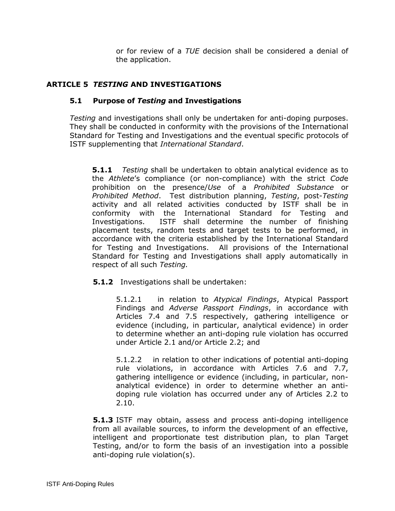or for review of a *TUE* decision shall be considered a denial of the application.

## <span id="page-13-0"></span>**ARTICLE 5** *TESTING* **AND INVESTIGATIONS**

#### **5.1 Purpose of** *Testing* **and Investigations**

*Testing* and investigations shall only be undertaken for anti-doping purposes. They shall be conducted in conformity with the provisions of the International Standard for Testing and Investigations and the eventual specific protocols of ISTF supplementing that *International Standard*.

**5.1.1** *Testing* shall be undertaken to obtain analytical evidence as to the *Athlete*'s compliance (or non-compliance) with the strict *Cod*e prohibition on the presence/*Use* of a *Prohibited Substance* or *Prohibited Method*. Test distribution planning, *Testing*, post-*Testing* activity and all related activities conducted by ISTF shall be in conformity with the International Standard for Testing and Investigations. ISTF shall determine the number of finishing placement tests, random tests and target tests to be performed, in accordance with the criteria established by the International Standard for Testing and Investigations. All provisions of the International Standard for Testing and Investigations shall apply automatically in respect of all such *Testing.* 

## **5.1.2** Investigations shall be undertaken:

5.1.2.1 in relation to *Atypical Findings*, Atypical Passport Findings and *Adverse Passport Findings*, in accordance with Articles 7.4 and 7.5 respectively, gathering intelligence or evidence (including, in particular, analytical evidence) in order to determine whether an anti-doping rule violation has occurred under Article 2.1 and/or Article 2.2; and

5.1.2.2 in relation to other indications of potential anti-doping rule violations, in accordance with Articles 7.6 and 7.7, gathering intelligence or evidence (including, in particular, nonanalytical evidence) in order to determine whether an antidoping rule violation has occurred under any of Articles 2.2 to 2.10.

**5.1.3** ISTF may obtain, assess and process anti-doping intelligence from all available sources, to inform the development of an effective, intelligent and proportionate test distribution plan, to plan Target Testing, and/or to form the basis of an investigation into a possible anti-doping rule violation(s).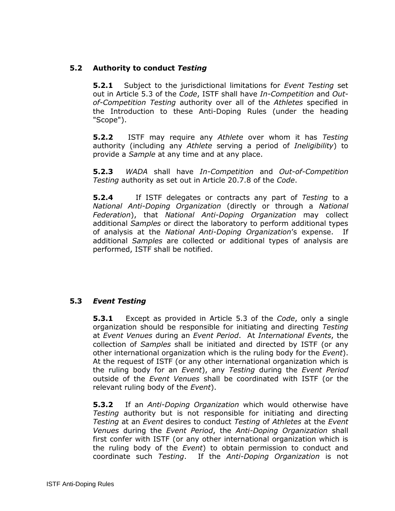## **5.2 Authority to conduct** *Testing*

**5.2.1** Subject to the jurisdictional limitations for *Event Testing* set out in Article 5.3 of the *Code*, ISTF shall have *In-Competition* and *Outof-Competition Testing* authority over all of the *Athletes* specified in the Introduction to these Anti-Doping Rules (under the heading "Scope").

**5.2.2** ISTF may require any *Athlete* over whom it has *Testing*  authority (including any *Athlete* serving a period of *Ineligibility*) to provide a *Sample* at any time and at any place.

**5.2.3** *WADA* shall have *In-Competition* and *Out-of-Competition Testing* authority as set out in Article 20.7.8 of the *Code*.

**5.2.4** If ISTF delegates or contracts any part of *Testing* to a *National Anti-Doping Organization* (directly or through a *National Federation*), that *National Anti-Doping Organization* may collect additional *Samples* or direct the laboratory to perform additional types of analysis at the *National Anti-Doping Organization*'s expense. If additional *Samples* are collected or additional types of analysis are performed, ISTF shall be notified.

## **5.3** *Event Testing*

**5.3.1** Except as provided in Article 5.3 of the *Code*, only a single organization should be responsible for initiating and directing *Testing* at *Event Venues* during an *Event Period*. At *International Events*, the collection of *Samples* shall be initiated and directed by ISTF (or any other international organization which is the ruling body for the *Event*). At the request of ISTF (or any other international organization which is the ruling body for an *Event*), any *Testing* during the *Event Period* outside of the *Event Venues* shall be coordinated with ISTF (or the relevant ruling body of the *Event*).

**5.3.2** If an *Anti-Doping Organization* which would otherwise have *Testing* authority but is not responsible for initiating and directing *Testing* at an *Event* desires to conduct *Testing* of *Athletes* at the *Event Venues* during the *Event Period*, the *Anti-Doping Organization* shall first confer with ISTF (or any other international organization which is the ruling body of the *Event*) to obtain permission to conduct and coordinate such *Testing*. If the *Anti-Doping Organization* is not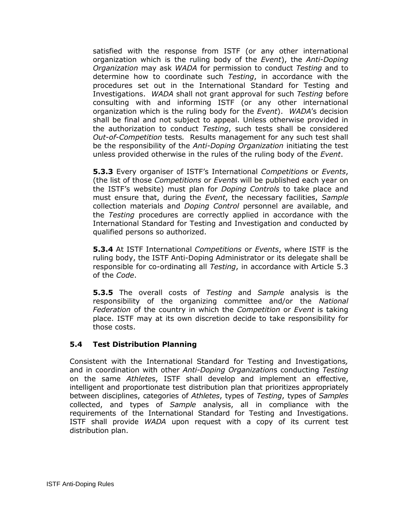satisfied with the response from ISTF (or any other international organization which is the ruling body of the *Event*), the *Anti-Doping Organization* may ask *WADA* for permission to conduct *Testing* and to determine how to coordinate such *Testing*, in accordance with the procedures set out in the International Standard for Testing and Investigations. *WADA* shall not grant approval for such *Testing* before consulting with and informing ISTF (or any other international organization which is the ruling body for the *Event*). *WADA*'s decision shall be final and not subject to appeal. Unless otherwise provided in the authorization to conduct *Testing*, such tests shall be considered *Out-of-Competition* tests*.* Results management for any such test shall be the responsibility of the *Anti-Doping Organization* initiating the test unless provided otherwise in the rules of the ruling body of the *Event*.

**5.3.3** Every organiser of ISTF's International *Competitions* or *Events*, (the list of those *Competitions* or *Events* will be published each year on the ISTF's website) must plan for *Doping Controls* to take place and must ensure that, during the *Event*, the necessary facilities, *Sample* collection materials and *Doping Control* personnel are available, and the *Testing* procedures are correctly applied in accordance with the International Standard for Testing and Investigation and conducted by qualified persons so authorized.

**5.3.4** At ISTF International *Competitions* or *Events*, where ISTF is the ruling body, the ISTF Anti-Doping Administrator or its delegate shall be responsible for co-ordinating all *Testing*, in accordance with Article 5.3 of the *Code*.

**5.3.5** The overall costs of *Testing* and *Sample* analysis is the responsibility of the organizing committee and/or the *National Federation* of the country in which the *Competition* or *Event* is taking place. ISTF may at its own discretion decide to take responsibility for those costs.

## **5.4 Test Distribution Planning**

Consistent with the International Standard for Testing and Investigations*,*  and in coordination with other *Anti-Doping Organization*s conducting *Testing* on the same *Athlete*s, ISTF shall develop and implement an effective, intelligent and proportionate test distribution plan that prioritizes appropriately between disciplines, categories of *Athletes*, types of *Testing*, types of *Samples* collected, and types of *Sample* analysis, all in compliance with the requirements of the International Standard for Testing and Investigations. ISTF shall provide *WADA* upon request with a copy of its current test distribution plan.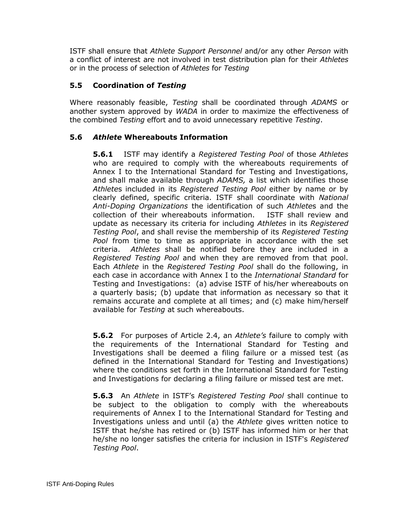ISTF shall ensure that *Athlete Support Personnel* and/or any other *Person* with a conflict of interest are not involved in test distribution plan for their *Athletes*  or in the process of selection of *Athletes* for *Testing*

# **5.5 Coordination of** *Testing*

Where reasonably feasible, *Testing* shall be coordinated through *ADAMS* or another system approved by *WADA* in order to maximize the effectiveness of the combined *Testing* effort and to avoid unnecessary repetitive *Testing*.

## **5.6** *Athlete* **Whereabouts Information**

**5.6.1** ISTF may identify a *Registered Testing Pool* of those *Athletes* who are required to comply with the whereabouts requirements of Annex I to the International Standard for Testing and Investigations, and shall make available through *ADAMS,* a list which identifies those *Athlete*s included in its *Registered Testing Pool* either by name or by clearly defined, specific criteria. ISTF shall coordinate with *National Anti-Doping Organizations* the identification of such *Athlete*s and the collection of their whereabouts information. ISTF shall review and update as necessary its criteria for including *Athletes* in its *Registered Testing Pool*, and shall revise the membership of its *Registered Testing Pool* from time to time as appropriate in accordance with the set criteria. *Athletes* shall be notified before they are included in a *Registered Testing Pool* and when they are removed from that pool. Each *Athlete* in the *Registered Testing Pool* shall do the following, in each case in accordance with Annex I to the *International Standard* for Testing and Investigations: (a) advise ISTF of his/her whereabouts on a quarterly basis; (b) update that information as necessary so that it remains accurate and complete at all times; and (c) make him/herself available for *Testing* at such whereabouts.

**5.6.2** For purposes of Article 2.4, an *Athlete's* failure to comply with the requirements of the International Standard for Testing and Investigations shall be deemed a filing failure or a missed test (as defined in the International Standard for Testing and Investigations) where the conditions set forth in the International Standard for Testing and Investigations for declaring a filing failure or missed test are met.

**5.6.3** An *Athlete* in ISTF's *Registered Testing Pool* shall continue to be subject to the obligation to comply with the whereabouts requirements of Annex I to the International Standard for Testing and Investigations unless and until (a) the *Athlete* gives written notice to ISTF that he/she has retired or (b) ISTF has informed him or her that he/she no longer satisfies the criteria for inclusion in ISTF's *Registered Testing Pool*.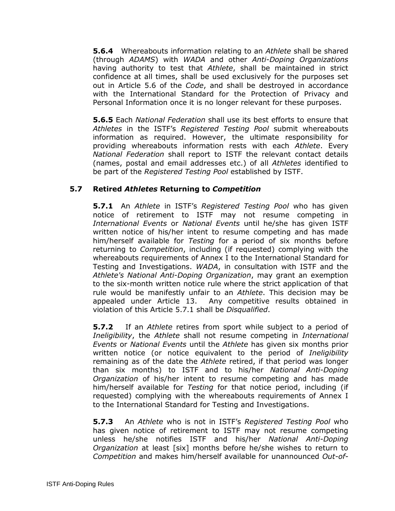**5.6.4** Whereabouts information relating to an *Athlete* shall be shared (through *ADAMS*) with *WADA* and other *Anti-Doping Organizations* having authority to test that *Athlete*, shall be maintained in strict confidence at all times, shall be used exclusively for the purposes set out in Article 5.6 of the *Code*, and shall be destroyed in accordance with the International Standard for the Protection of Privacy and Personal Information once it is no longer relevant for these purposes.

**5.6.5** Each *National Federation* shall use its best efforts to ensure that *Athletes* in the ISTF's *Registered Testing Pool* submit whereabouts information as required. However, the ultimate responsibility for providing whereabouts information rests with each *Athlete*. Every *National Federation* shall report to ISTF the relevant contact details (names, postal and email addresses etc.) of all *Athletes* identified to be part of the *Registered Testing Pool* established by ISTF.

## **5.7 Retired** *Athletes* **Returning to** *Competition*

**5.7.1** An *Athlete* in ISTF's *Registered Testing Pool* who has given notice of retirement to ISTF may not resume competing in *International Events* or *National Events* until he/she has given ISTF written notice of his/her intent to resume competing and has made him/herself available for *Testing* for a period of six months before returning to *Competition*, including (if requested) complying with the whereabouts requirements of Annex I to the International Standard for Testing and Investigations. *WADA*, in consultation with ISTF and the *Athlete's National Anti-Doping Organization*, may grant an exemption to the six-month written notice rule where the strict application of that rule would be manifestly unfair to an *Athlete*. This decision may be appealed under Article 13. Any competitive results obtained in violation of this Article 5.7.1 shall be *Disqualified*.

**5.7.2** If an *Athlete* retires from sport while subject to a period of *Ineligibility*, the *Athlete* shall not resume competing in *International Events* or *National Events* until the *Athlete* has given six months prior written notice (or notice equivalent to the period of *Ineligibility*  remaining as of the date the *Athlete* retired, if that period was longer than six months) to ISTF and to his/her *National Anti-Doping Organization* of his/her intent to resume competing and has made him/herself available for *Testing* for that notice period, including (if requested) complying with the whereabouts requirements of Annex I to the International Standard for Testing and Investigations.

**5.7.3** An *Athlete* who is not in ISTF's *Registered Testing Pool* who has given notice of retirement to ISTF may not resume competing unless he/she notifies ISTF and his/her *National Anti-Doping Organization* at least [six] months before he/she wishes to return to *Competition* and makes him/herself available for unannounced *Out-of-*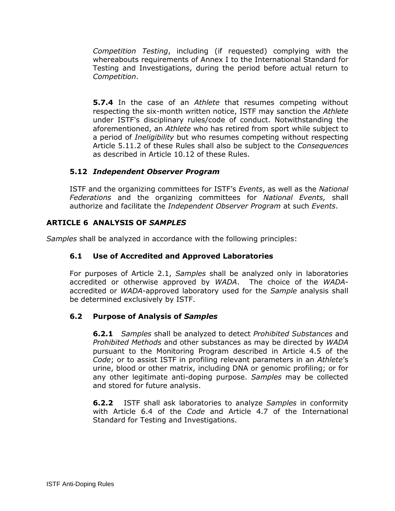*Competition Testing*, including (if requested) complying with the whereabouts requirements of Annex I to the International Standard for Testing and Investigations, during the period before actual return to *Competition*.

**5.7.4** In the case of an *Athlete* that resumes competing without respecting the six-month written notice, ISTF may sanction the *Athlete* under ISTF's disciplinary rules/code of conduct. Notwithstanding the aforementioned, an *Athlete* who has retired from sport while subject to a period of *Ineligibility* but who resumes competing without respecting Article 5.11.2 of these Rules shall also be subject to the *Consequences* as described in Article 10.12 of these Rules.

## **5.12** *Independent Observer Program*

ISTF and the organizing committees for ISTF's *Events*, as well as the *National Federations* and the organizing committees for *National Events,* shall authorize and facilitate the *Independent Observer Program* at such *Events*.

## <span id="page-18-0"></span>**ARTICLE 6 ANALYSIS OF** *SAMPLES*

*Samples* shall be analyzed in accordance with the following principles:

## **6.1 Use of Accredited and Approved Laboratories**

For purposes of Article 2.1, *Samples* shall be analyzed only in laboratories accredited or otherwise approved by *WADA*. The choice of the *WADA*accredited or *WADA*-approved laboratory used for the *Sample* analysis shall be determined exclusively by ISTF.

## **6.2 Purpose of Analysis of** *Samples*

**6.2.1** *Samples* shall be analyzed to detect *Prohibited Substances* and *Prohibited Methods* and other substances as may be directed by *WADA* pursuant to the Monitoring Program described in Article 4.5 of the *Code*; or to assist ISTF in profiling relevant parameters in an *Athlete*'s urine, blood or other matrix, including DNA or genomic profiling; or for any other legitimate anti-doping purpose. *Samples* may be collected and stored for future analysis.

**6.2.2** ISTF shall ask laboratories to analyze *Samples* in conformity with Article 6.4 of the *Code* and Article 4.7 of the International Standard for Testing and Investigations.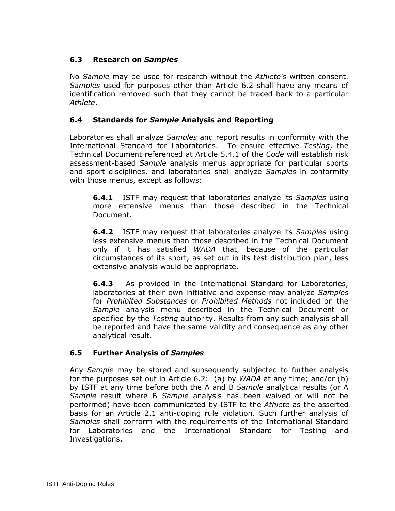# **6.3 Research on** *Samples*

No *Sample* may be used for research without the *Athlete's* written consent. *Samples* used for purposes other than Article 6.2 shall have any means of identification removed such that they cannot be traced back to a particular *Athlete*.

## **6.4 Standards for** *Sample* **Analysis and Reporting**

Laboratories shall analyze *Samples* and report results in conformity with the International Standard for Laboratories. To ensure effective *Testing*, the Technical Document referenced at Article 5.4.1 of the *Code* will establish risk assessment-based *Sample* analysis menus appropriate for particular sports and sport disciplines, and laboratories shall analyze *Samples* in conformity with those menus, except as follows:

**6.4.1** ISTF may request that laboratories analyze its *Samples* using more extensive menus than those described in the Technical Document.

**6.4.2** ISTF may request that laboratories analyze its *Samples* using less extensive menus than those described in the Technical Document only if it has satisfied *WADA* that, because of the particular circumstances of its sport, as set out in its test distribution plan, less extensive analysis would be appropriate.

**6.4.3** As provided in the International Standard for Laboratories, laboratories at their own initiative and expense may analyze *Samples*  for *Prohibited Substances* or *Prohibited Methods* not included on the *Sample* analysis menu described in the Technical Document or specified by the *Testing* authority. Results from any such analysis shall be reported and have the same validity and consequence as any other analytical result.

## **6.5 Further Analysis of** *Samples*

Any *Sample* may be stored and subsequently subjected to further analysis for the purposes set out in Article 6.2: (a) by *WADA* at any time; and/or (b) by ISTF at any time before both the A and B *Sample* analytical results (or A *Sample* result where B *Sample* analysis has been waived or will not be performed) have been communicated by ISTF to the *Athlete* as the asserted basis for an Article 2.1 anti-doping rule violation. Such further analysis of *Samples* shall conform with the requirements of the International Standard for Laboratories and the International Standard for Testing and Investigations.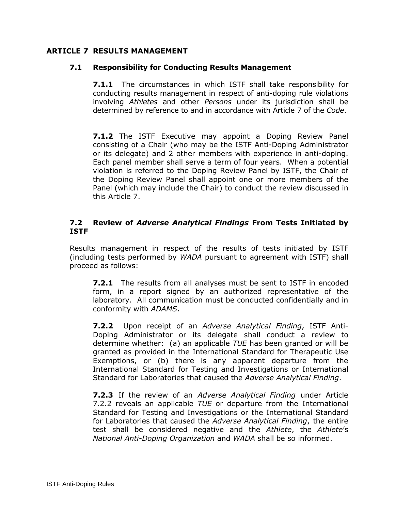## <span id="page-20-0"></span>**ARTICLE 7 RESULTS MANAGEMENT**

#### **7.1 Responsibility for Conducting Results Management**

**7.1.1** The circumstances in which ISTF shall take responsibility for conducting results management in respect of anti-doping rule violations involving *Athletes* and other *Persons* under its jurisdiction shall be determined by reference to and in accordance with Article 7 of the *Code*.

**7.1.2** The ISTF Executive may appoint a Doping Review Panel consisting of a Chair (who may be the ISTF Anti-Doping Administrator or its delegate) and 2 other members with experience in anti-doping. Each panel member shall serve a term of four years. When a potential violation is referred to the Doping Review Panel by ISTF, the Chair of the Doping Review Panel shall appoint one or more members of the Panel (which may include the Chair) to conduct the review discussed in this Article 7.

#### **7.2 Review of** *Adverse Analytical Findings* **From Tests Initiated by ISTF**

Results management in respect of the results of tests initiated by ISTF (including tests performed by *WADA* pursuant to agreement with ISTF) shall proceed as follows:

**7.2.1** The results from all analyses must be sent to ISTF in encoded form, in a report signed by an authorized representative of the laboratory. All communication must be conducted confidentially and in conformity with *ADAMS*.

**7.2.2** Upon receipt of an *Adverse Analytical Finding*, ISTF Anti-Doping Administrator or its delegate shall conduct a review to determine whether: (a) an applicable *TUE* has been granted or will be granted as provided in the International Standard for Therapeutic Use Exemptions, or (b) there is any apparent departure from the International Standard for Testing and Investigations or International Standard for Laboratories that caused the *Adverse Analytical Finding*.

**7.2.3** If the review of an *Adverse Analytical Finding* under Article 7.2.2 reveals an applicable *TUE* or departure from the International Standard for Testing and Investigations or the International Standard for Laboratories that caused the *Adverse Analytical Finding*, the entire test shall be considered negative and the *Athlete*, the *Athlete*'s *National Anti-Doping Organization* and *WADA* shall be so informed.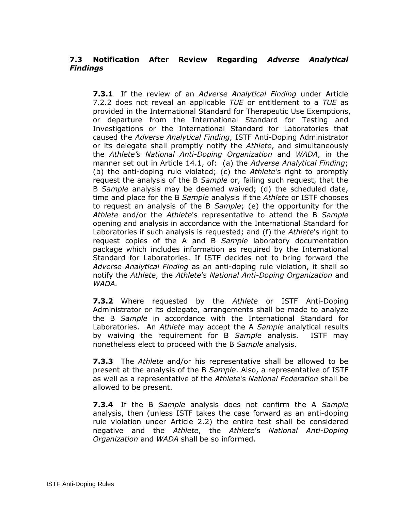# **7.3 Notification After Review Regarding** *Adverse Analytical Findings*

**7.3.1** If the review of an *Adverse Analytical Finding* under Article 7.2.2 does not reveal an applicable *TUE* or entitlement to a *TUE* as provided in the International Standard for Therapeutic Use Exemptions, or departure from the International Standard for Testing and Investigations or the International Standard for Laboratories that caused the *Adverse Analytical Finding*, ISTF Anti-Doping Administrator or its delegate shall promptly notify the *Athlete*, and simultaneously the *Athlete's National Anti-Doping Organization* and *WADA*, in the manner set out in Article 14.1, of: (a) the *Adverse Analytical Finding*; (b) the anti-doping rule violated; (c) the *Athlete*'s right to promptly request the analysis of the B *Sample* or, failing such request, that the B *Sample* analysis may be deemed waived; (d) the scheduled date, time and place for the B *Sample* analysis if the *Athlete* or ISTF chooses to request an analysis of the B *Sample*; (e) the opportunity for the *Athlete* and/or the *Athlete*'s representative to attend the B *Sample* opening and analysis in accordance with the International Standard for Laboratories if such analysis is requested; and (f) the *Athlete*'s right to request copies of the A and B *Sample* laboratory documentation package which includes information as required by the International Standard for Laboratories. If ISTF decides not to bring forward the *Adverse Analytical Finding* as an anti-doping rule violation, it shall so notify the *Athlete*, the *Athlete*'s *National Anti-Doping Organization* and *WADA.*

**7.3.2** Where requested by the *Athlete* or ISTF Anti-Doping Administrator or its delegate, arrangements shall be made to analyze the B *Sample* in accordance with the International Standard for Laboratories. An *Athlete* may accept the A *Sample* analytical results by waiving the requirement for B *Sample* analysis. ISTF may nonetheless elect to proceed with the B *Sample* analysis.

**7.3.3** The *Athlete* and/or his representative shall be allowed to be present at the analysis of the B *Sample*. Also, a representative of ISTF as well as a representative of the *Athlete*'s *National Federation* shall be allowed to be present.

**7.3.4** If the B *Sample* analysis does not confirm the A *Sample*  analysis, then (unless ISTF takes the case forward as an anti-doping rule violation under Article 2.2) the entire test shall be considered negative and the *Athlete*, the *Athlete*'s *National Anti-Doping Organization* and *WADA* shall be so informed.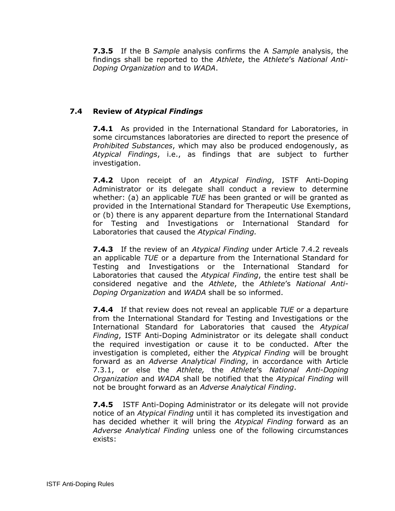**7.3.5** If the B *Sample* analysis confirms the A *Sample* analysis, the findings shall be reported to the *Athlete*, the *Athlete*'s *National Anti-Doping Organization* and to *WADA*.

## **7.4 Review of** *Atypical Findings*

**7.4.1** As provided in the International Standard for Laboratories, in some circumstances laboratories are directed to report the presence of *Prohibited Substances*, which may also be produced endogenously, as *Atypical Findings*, i.e., as findings that are subject to further investigation.

**7.4.2** Upon receipt of an *Atypical Finding*, ISTF Anti-Doping Administrator or its delegate shall conduct a review to determine whether: (a) an applicable *TUE* has been granted or will be granted as provided in the International Standard for Therapeutic Use Exemptions, or (b) there is any apparent departure from the International Standard for Testing and Investigations or International Standard for Laboratories that caused the *Atypical Finding.*

**7.4.3** If the review of an *Atypical Finding* under Article 7.4.2 reveals an applicable *TUE* or a departure from the International Standard for Testing and Investigations or the International Standard for Laboratories that caused the *Atypical Finding*, the entire test shall be considered negative and the *Athlete*, the *Athlete*'s *National Anti-Doping Organization* and *WADA* shall be so informed.

**7.4.4** If that review does not reveal an applicable *TUE* or a departure from the International Standard for Testing and Investigations or the International Standard for Laboratories that caused the *Atypical Finding*, ISTF Anti-Doping Administrator or its delegate shall conduct the required investigation or cause it to be conducted. After the investigation is completed, either the *Atypical Finding* will be brought forward as an *Adverse Analytical Finding*, in accordance with Article 7.3.1, or else the *Athlete,* the *Athlete*'s *National Anti-Doping Organization* and *WADA* shall be notified that the *Atypical Finding* will not be brought forward as an *Adverse Analytical Finding*.

**7.4.5** ISTF Anti-Doping Administrator or its delegate will not provide notice of an *Atypical Finding* until it has completed its investigation and has decided whether it will bring the *Atypical Finding* forward as an *Adverse Analytical Finding* unless one of the following circumstances exists: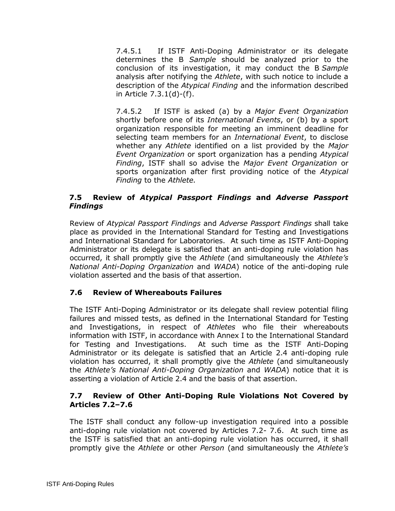7.4.5.1 If ISTF Anti-Doping Administrator or its delegate determines the B *Sample* should be analyzed prior to the conclusion of its investigation, it may conduct the B *Sample*  analysis after notifying the *Athlete*, with such notice to include a description of the *Atypical Finding* and the information described in Article 7.3.1(d)-(f).

7.4.5.2 If ISTF is asked (a) by a *Major Event Organization*  shortly before one of its *International Events*, or (b) by a sport organization responsible for meeting an imminent deadline for selecting team members for an *International Event*, to disclose whether any *Athlete* identified on a list provided by the *Major Event Organization* or sport organization has a pending *Atypical Finding*, ISTF shall so advise the *Major Event Organization* or sports organization after first providing notice of the *Atypical Finding* to the *Athlete.*

## **7.5 Review of** *Atypical Passport Findings* **and** *Adverse Passport Findings*

Review of *Atypical Passport Findings* and *Adverse Passport Findings* shall take place as provided in the International Standard for Testing and Investigations and International Standard for Laboratories. At such time as ISTF Anti-Doping Administrator or its delegate is satisfied that an anti-doping rule violation has occurred, it shall promptly give the *Athlete* (and simultaneously the *Athlete's National Anti-Doping Organization* and *WADA*) notice of the anti-doping rule violation asserted and the basis of that assertion.

# **7.6 Review of Whereabouts Failures**

The ISTF Anti-Doping Administrator or its delegate shall review potential filing failures and missed tests, as defined in the International Standard for Testing and Investigations, in respect of *Athletes* who file their whereabouts information with ISTF, in accordance with Annex I to the International Standard for Testing and Investigations. At such time as the ISTF Anti-Doping Administrator or its delegate is satisfied that an Article 2.4 anti-doping rule violation has occurred, it shall promptly give the *Athlete* (and simultaneously the *Athlete's National Anti-Doping Organization* and *WADA*) notice that it is asserting a violation of Article 2.4 and the basis of that assertion.

## **7.7 Review of Other Anti-Doping Rule Violations Not Covered by Articles 7.2–7.6**

The ISTF shall conduct any follow-up investigation required into a possible anti-doping rule violation not covered by Articles 7.2- 7.6. At such time as the ISTF is satisfied that an anti-doping rule violation has occurred, it shall promptly give the *Athlete* or other *Person* (and simultaneously the *Athlete's*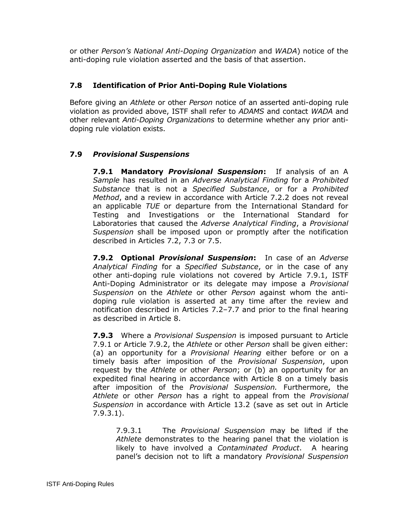or other *Person's National Anti-Doping Organization* and *WADA*) notice of the anti-doping rule violation asserted and the basis of that assertion.

# **7.8 Identification of Prior Anti-Doping Rule Violations**

Before giving an *Athlete* or other *Person* notice of an asserted anti-doping rule violation as provided above, ISTF shall refer to *ADAMS* and contact *WADA* and other relevant *Anti-Doping Organizations* to determine whether any prior antidoping rule violation exists.

## **7.9** *Provisional Suspensions*

**7.9.1 Mandatory** *Provisional Suspension***:** If analysis of an A *Sample* has resulted in an *Adverse Analytical Finding* for a *Prohibited Substance* that is not a *Specified Substance*, or for a *Prohibited Method*, and a review in accordance with Article 7.2.2 does not reveal an applicable *TUE* or departure from the International Standard for Testing and Investigations or the International Standard for Laboratories that caused the *Adverse Analytical Finding*, a *Provisional Suspension* shall be imposed upon or promptly after the notification described in Articles 7.2, 7.3 or 7.5.

**7.9.2 Optional** *Provisional Suspension***:** In case of an *Adverse Analytical Finding* for a *Specified Substance*, or in the case of any other anti-doping rule violations not covered by Article 7.9.1, ISTF Anti-Doping Administrator or its delegate may impose a *Provisional Suspension* on the *Athlete* or other *Person* against whom the antidoping rule violation is asserted at any time after the review and notification described in Articles 7.2–7.7 and prior to the final hearing as described in Article 8.

**7.9.3** Where a *Provisional Suspension* is imposed pursuant to Article 7.9.1 or Article 7.9.2, the *Athlete* or other *Person* shall be given either: (a) an opportunity for a *Provisional Hearing* either before or on a timely basis after imposition of the *Provisional Suspension*, upon request by the *Athlete* or other *Person*; or (b) an opportunity for an expedited final hearing in accordance with Article 8 on a timely basis after imposition of the *Provisional Suspension.* Furthermore, the *Athlete* or other *Person* has a right to appeal from the *Provisional Suspension* in accordance with Article 13.2 (save as set out in Article 7.9.3.1).

7.9.3.1 The *Provisional Suspension* may be lifted if the *Athlete* demonstrates to the hearing panel that the violation is likely to have involved a *Contaminated Product*. A hearing panel's decision not to lift a mandatory *Provisional Suspension*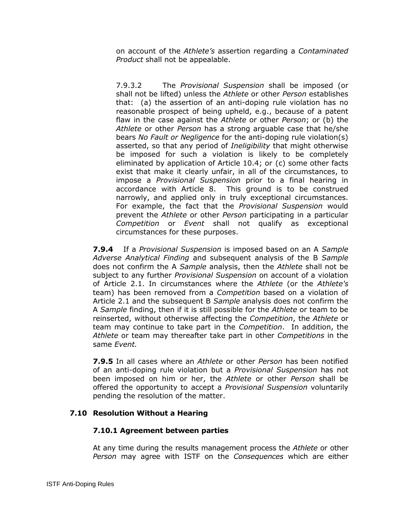on account of the *Athlete's* assertion regarding a *Contaminated Product* shall not be appealable.

7.9.3.2 The *Provisional Suspension* shall be imposed (or shall not be lifted) unless the *Athlete* or other *Person* establishes that: (a) the assertion of an anti-doping rule violation has no reasonable prospect of being upheld, e.g., because of a patent flaw in the case against the *Athlete* or other *Person*; or (b) the *Athlete* or other *Person* has a strong arguable case that he/she bears *No Fault or Negligence* for the anti-doping rule violation(s) asserted, so that any period of *Ineligibility* that might otherwise be imposed for such a violation is likely to be completely eliminated by application of Article 10.4; or (c) some other facts exist that make it clearly unfair, in all of the circumstances, to impose a *Provisional Suspension* prior to a final hearing in accordance with Article 8. This ground is to be construed narrowly, and applied only in truly exceptional circumstances. For example, the fact that the *Provisional Suspension* would prevent the *Athlete* or other *Person* participating in a particular *Competition* or *Event* shall not qualify as exceptional circumstances for these purposes.

**7.9.4** If a *Provisional Suspension* is imposed based on an A *Sample Adverse Analytical Finding* and subsequent analysis of the B *Sample* does not confirm the A *Sample* analysis, then the *Athlete* shall not be subject to any further *Provisional Suspension* on account of a violation of Article 2.1. In circumstances where the *Athlete* (or the *Athlete's*  team) has been removed from a *Competition* based on a violation of Article 2.1 and the subsequent B *Sample* analysis does not confirm the A *Sample* finding, then if it is still possible for the *Athlete* or team to be reinserted, without otherwise affecting the *Competition*, the *Athlete* or team may continue to take part in the *Competition*. In addition, the *Athlete* or team may thereafter take part in other *Competitions* in the same *Event.*

**7.9.5** In all cases where an *Athlete* or other *Person* has been notified of an anti-doping rule violation but a *Provisional Suspension* has not been imposed on him or her, the *Athlete* or other *Person* shall be offered the opportunity to accept a *Provisional Suspension* voluntarily pending the resolution of the matter.

## **7.10 Resolution Without a Hearing**

#### **7.10.1 Agreement between parties**

At any time during the results management process the *Athlete* or other *Person* may agree with ISTF on the *Consequences* which are either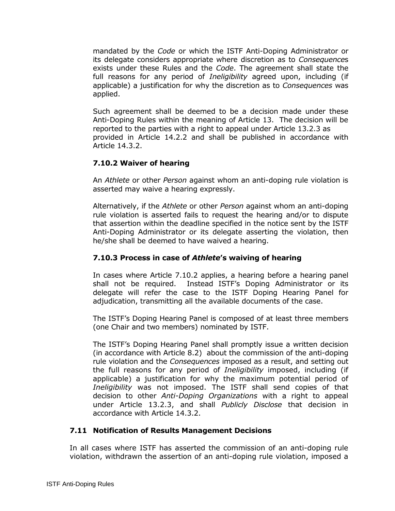mandated by the *Code* or which the ISTF Anti-Doping Administrator or its delegate considers appropriate where discretion as to *Consequence*s exists under these Rules and the *Code*. The agreement shall state the full reasons for any period of *Ineligibility* agreed upon, including (if applicable) a justification for why the discretion as to *Consequences* was applied.

Such agreement shall be deemed to be a decision made under these Anti-Doping Rules within the meaning of Article 13. The decision will be reported to the parties with a right to appeal under Article 13.2.3 as provided in Article 14.2.2 and shall be published in accordance with Article 14.3.2.

## **7.10.2 Waiver of hearing**

An *Athlete* or other *Person* against whom an anti-doping rule violation is asserted may waive a hearing expressly.

Alternatively, if the *Athlete* or other *Person* against whom an anti-doping rule violation is asserted fails to request the hearing and/or to dispute that assertion within the deadline specified in the notice sent by the ISTF Anti-Doping Administrator or its delegate asserting the violation, then he/she shall be deemed to have waived a hearing.

#### **7.10.3 Process in case of** *Athlete***'s waiving of hearing**

In cases where Article 7.10.2 applies, a hearing before a hearing panel shall not be required. Instead ISTF's Doping Administrator or its delegate will refer the case to the ISTF Doping Hearing Panel for adjudication, transmitting all the available documents of the case.

The ISTF's Doping Hearing Panel is composed of at least three members (one Chair and two members) nominated by ISTF.

The ISTF's Doping Hearing Panel shall promptly issue a written decision (in accordance with Article 8.2) about the commission of the anti-doping rule violation and the *Consequences* imposed as a result, and setting out the full reasons for any period of *Ineligibility* imposed, including (if applicable) a justification for why the maximum potential period of *Ineligibility* was not imposed. The ISTF shall send copies of that decision to other *Anti-Doping Organizations* with a right to appeal under Article 13.2.3, and shall *Publicly Disclose* that decision in accordance with Article 14.3.2.

## **7.11 Notification of Results Management Decisions**

In all cases where ISTF has asserted the commission of an anti-doping rule violation, withdrawn the assertion of an anti-doping rule violation, imposed a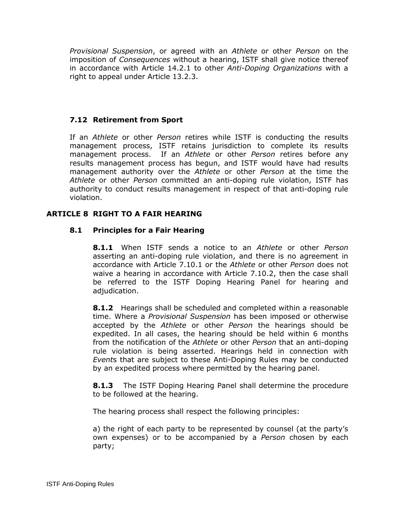*Provisional Suspension*, or agreed with an *Athlete* or other *Person* on the imposition of *Consequences* without a hearing, ISTF shall give notice thereof in accordance with Article 14.2.1 to other *Anti-Doping Organizations* with a right to appeal under Article 13.2.3.

## **7.12 Retirement from Sport**

If an *Athlete* or other *Person* retires while ISTF is conducting the results management process, ISTF retains jurisdiction to complete its results management process. If an *Athlete* or other *Person* retires before any results management process has begun, and ISTF would have had results management authority over the *Athlete* or other *Person* at the time the *Athlete* or other *Person* committed an anti-doping rule violation, ISTF has authority to conduct results management in respect of that anti-doping rule violation.

## <span id="page-27-0"></span>**ARTICLE 8 RIGHT TO A FAIR HEARING**

## **8.1 Principles for a Fair Hearing**

**8.1.1** When ISTF sends a notice to an *Athlete* or other *Person*  asserting an anti-doping rule violation, and there is no agreement in accordance with Article 7.10.1 or the *Athlete* or other *Person* does not waive a hearing in accordance with Article 7.10.2, then the case shall be referred to the ISTF Doping Hearing Panel for hearing and adjudication.

**8.1.2** Hearings shall be scheduled and completed within a reasonable time. Where a *Provisional Suspension* has been imposed or otherwise accepted by the *Athlete* or other *Person* the hearings should be expedited. In all cases, the hearing should be held within 6 months from the notification of the *Athlete* or other *Person* that an anti-doping rule violation is being asserted. Hearings held in connection with *Event*s that are subject to these Anti-Doping Rules may be conducted by an expedited process where permitted by the hearing panel.

**8.1.3** The ISTF Doping Hearing Panel shall determine the procedure to be followed at the hearing.

The hearing process shall respect the following principles:

a) the right of each party to be represented by counsel (at the party's own expenses) or to be accompanied by a *Person* chosen by each party;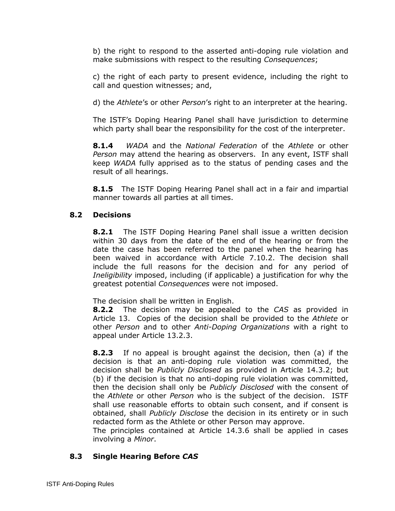b) the right to respond to the asserted anti-doping rule violation and make submissions with respect to the resulting *Consequences*;

c) the right of each party to present evidence, including the right to call and question witnesses; and,

d) the *Athlete*'s or other *Person*'s right to an interpreter at the hearing.

The ISTF's Doping Hearing Panel shall have jurisdiction to determine which party shall bear the responsibility for the cost of the interpreter.

**8.1.4** *WADA* and the *National Federation* of the *Athlete* or other *Person* may attend the hearing as observers. In any event, ISTF shall keep *WADA* fully apprised as to the status of pending cases and the result of all hearings.

**8.1.5** The ISTF Doping Hearing Panel shall act in a fair and impartial manner towards all parties at all times.

## **8.2 Decisions**

**8.2.1** The ISTF Doping Hearing Panel shall issue a written decision within 30 days from the date of the end of the hearing or from the date the case has been referred to the panel when the hearing has been waived in accordance with Article 7.10.2. The decision shall include the full reasons for the decision and for any period of *Ineligibility* imposed, including (if applicable) a justification for why the greatest potential *Consequences* were not imposed.

The decision shall be written in English.

**8.2.2** The decision may be appealed to the *CAS* as provided in Article 13. Copies of the decision shall be provided to the *Athlete* or other *Person* and to other *Anti-Doping Organizations* with a right to appeal under Article 13.2.3.

**8.2.3** If no appeal is brought against the decision, then (a) if the decision is that an anti-doping rule violation was committed, the decision shall be *Publicly Disclosed* as provided in Article 14.3.2; but (b) if the decision is that no anti-doping rule violation was committed, then the decision shall only be *Publicly Disclosed* with the consent of the *Athlete* or other *Person* who is the subject of the decision. ISTF shall use reasonable efforts to obtain such consent, and if consent is obtained, shall *Publicly Disclose* the decision in its entirety or in such redacted form as the Athlete or other Person may approve.

The principles contained at Article 14.3.6 shall be applied in cases involving a *Minor*.

# **8.3 Single Hearing Before** *CAS*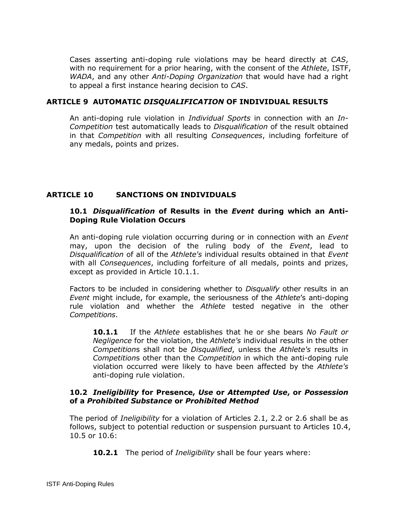Cases asserting anti-doping rule violations may be heard directly at *CAS*, with no requirement for a prior hearing, with the consent of the *Athlete*, ISTF, *WADA*, and any other *Anti-Doping Organization* that would have had a right to appeal a first instance hearing decision to *CAS*.

#### <span id="page-29-0"></span>**ARTICLE 9 AUTOMATIC** *DISQUALIFICATION* **OF INDIVIDUAL RESULTS**

An anti-doping rule violation in *Individual Sports* in connection with an *In-Competition* test automatically leads to *Disqualification* of the result obtained in that *Competition* with all resulting *Consequences*, including forfeiture of any medals, points and prizes.

## <span id="page-29-1"></span>**ARTICLE 10 SANCTIONS ON INDIVIDUALS**

#### **10.1** *Disqualification* **of Results in the** *Event* **during which an Anti-Doping Rule Violation Occurs**

An anti-doping rule violation occurring during or in connection with an *Event*  may, upon the decision of the ruling body of the *Event*, lead to *Disqualification* of all of the *Athlete's* individual results obtained in that *Event* with all *Consequences*, including forfeiture of all medals, points and prizes, except as provided in Article 10.1.1.

Factors to be included in considering whether to *Disqualify* other results in an *Event* might include, for example, the seriousness of the *Athlete*'s anti-doping rule violation and whether the *Athlete* tested negative in the other *Competitions*.

**10.1.1** If the *Athlete* establishes that he or she bears *No Fault or Negligence* for the violation, the *Athlete's* individual results in the other *Competition*s shall not be *Disqualified*, unless the *Athlete's* results in *Competition*s other than the *Competition* in which the anti-doping rule violation occurred were likely to have been affected by the *Athlete's* anti-doping rule violation.

#### **10.2** *Ineligibility* **for Presence,** *Use* **or** *Attempted Use***, or** *Possession*  **of a** *Prohibited Substance* **or** *Prohibited Method*

The period of *Ineligibility* for a violation of Articles 2.1, 2.2 or 2.6 shall be as follows, subject to potential reduction or suspension pursuant to Articles 10.4, 10.5 or 10.6:

**10.2.1** The period of *Ineligibility* shall be four years where: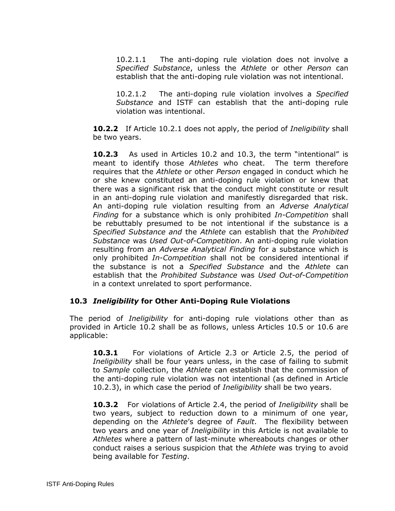10.2.1.1 The anti-doping rule violation does not involve a *Specified Substance*, unless the *Athlete* or other *Person* can establish that the anti-doping rule violation was not intentional.

10.2.1.2 The anti-doping rule violation involves a *Specified Substance* and ISTF can establish that the anti-doping rule violation was intentional.

**10.2.2** If Article 10.2.1 does not apply, the period of *Ineligibility* shall be two years.

**10.2.3** As used in Articles 10.2 and 10.3, the term "intentional" is meant to identify those *Athletes* who cheat. The term therefore requires that the *Athlete* or other *Person* engaged in conduct which he or she knew constituted an anti-doping rule violation or knew that there was a significant risk that the conduct might constitute or result in an anti-doping rule violation and manifestly disregarded that risk. An anti-doping rule violation resulting from an *Adverse Analytical Finding* for a substance which is only prohibited *In-Competition* shall be rebuttably presumed to be not intentional if the substance is a *Specified Substance and* the *Athlete* can establish that the *Prohibited Substance* was *Used Out-of-Competition*. An anti-doping rule violation resulting from an *Adverse Analytical Finding* for a substance which is only prohibited *In-Competition* shall not be considered intentional if the substance is not a *Specified Substance* and the *Athlete* can establish that the *Prohibited Substance* was *Used Out-of-Competition* in a context unrelated to sport performance.

## **10.3** *Ineligibility* **for Other Anti-Doping Rule Violations**

The period of *Ineligibility* for anti-doping rule violations other than as provided in Article 10.2 shall be as follows, unless Articles 10.5 or 10.6 are applicable:

**10.3.1** For violations of Article 2.3 or Article 2.5, the period of *Ineligibility* shall be four years unless, in the case of failing to submit to *Sample* collection, the *Athlete* can establish that the commission of the anti-doping rule violation was not intentional (as defined in Article 10.2.3), in which case the period of *Ineligibility* shall be two years.

**10.3.2** For violations of Article 2.4, the period of *Ineligibility* shall be two years, subject to reduction down to a minimum of one year, depending on the *Athlete*'s degree of *Fault*. The flexibility between two years and one year of *Ineligibility* in this Article is not available to *Athletes* where a pattern of last-minute whereabouts changes or other conduct raises a serious suspicion that the *Athlete* was trying to avoid being available for *Testing*.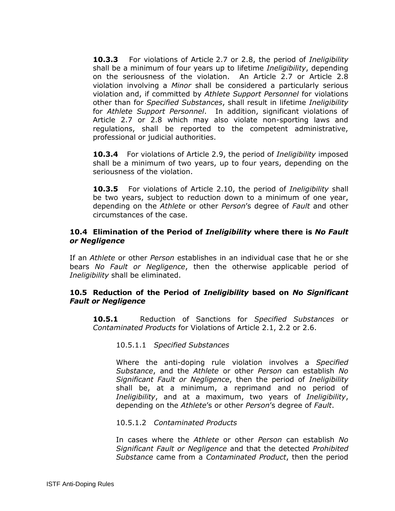**10.3.3** For violations of Article 2.7 or 2.8, the period of *Ineligibility* shall be a minimum of four years up to lifetime *Ineligibility*, depending on the seriousness of the violation. An Article 2.7 or Article 2.8 violation involving a *Minor* shall be considered a particularly serious violation and, if committed by *Athlete Support Personnel* for violations other than for *Specified Substances*, shall result in lifetime *Ineligibility* for *Athlete Support Personnel*. In addition, significant violations of Article 2.7 or 2.8 which may also violate non-sporting laws and regulations, shall be reported to the competent administrative, professional or judicial authorities.

**10.3.4** For violations of Article 2.9, the period of *Ineligibility* imposed shall be a minimum of two years, up to four years, depending on the seriousness of the violation.

**10.3.5** For violations of Article 2.10, the period of *Ineligibility* shall be two years, subject to reduction down to a minimum of one year, depending on the *Athlete* or other *Person*'s degree of *Fault* and other circumstances of the case.

#### **10.4 Elimination of the Period of** *Ineligibility* **where there is** *No Fault or Negligence*

If an *Athlete* or other *Person* establishes in an individual case that he or she bears *No Fault or Negligence*, then the otherwise applicable period of *Ineligibility* shall be eliminated.

## **10.5 Reduction of the Period of** *Ineligibility* **based on** *No Significant Fault or Negligence*

**10.5.1** Reduction of Sanctions for *Specified Substances* or *Contaminated Products* for Violations of Article 2.1, 2.2 or 2.6.

10.5.1.1 *Specified Substances*

Where the anti-doping rule violation involves a *Specified Substance*, and the *Athlete* or other *Person* can establish *No Significant Fault or Negligence*, then the period of *Ineligibility* shall be, at a minimum, a reprimand and no period of *Ineligibility*, and at a maximum, two years of *Ineligibility*, depending on the *Athlete*'s or other *Person*'s degree of *Fault*.

10.5.1.2 *Contaminated Products*

In cases where the *Athlete* or other *Person* can establish *No Significant Fault or Negligence* and that the detected *Prohibited Substance* came from a *Contaminated Product*, then the period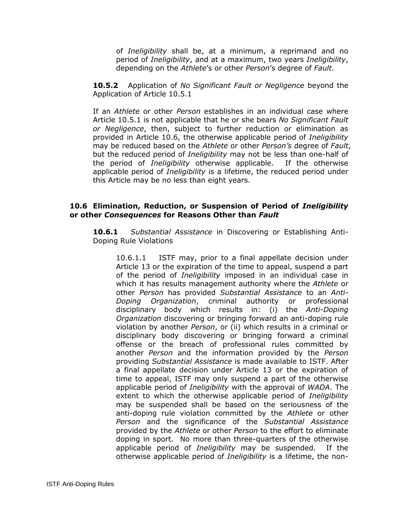of *Ineligibility* shall be, at a minimum, a reprimand and no period of *Ineligibility*, and at a maximum, two years *Ineligibility*, depending on the *Athlete*'s or other *Person*'s degree of *Fault*.

**10.5.2** Application of *No Significant Fault or Negligence* beyond the Application of Article 10.5.1

If an *Athlete* or other *Person* establishes in an individual case where Article 10.5.1 is not applicable that he or she bears *No Significant Fault or Negligence*, then, subject to further reduction or elimination as provided in Article 10.6, the otherwise applicable period of *Ineligibility*  may be reduced based on the *Athlete* or other *Person's* degree of *Fault*, but the reduced period of *Ineligibility* may not be less than one-half of the period of *Ineligibility* otherwise applicable. If the otherwise applicable period of *Ineligibility* is a lifetime, the reduced period under this Article may be no less than eight years.

#### **10.6 Elimination, Reduction, or Suspension of Period of** *Ineligibility*  **or other** *Consequences* **for Reasons Other than** *Fault*

**10.6.1** *Substantial Assistance* in Discovering or Establishing Anti-Doping Rule Violations

10.6.1.1ISTF may, prior to a final appellate decision under Article 13 or the expiration of the time to appeal, suspend a part of the period of *Ineligibility* imposed in an individual case in which it has results management authority where the *Athlete* or other *Person* has provided *Substantial Assistance* to an *Anti-Doping Organization*, criminal authority or professional disciplinary body which results in: (i) the *Anti-Doping Organization* discovering or bringing forward an anti-doping rule violation by another *Person*, or (ii) which results in a criminal or disciplinary body discovering or bringing forward a criminal offense or the breach of professional rules committed by another *Person* and the information provided by the *Person* providing *Substantial Assistance* is made available to ISTF. After a final appellate decision under Article 13 or the expiration of time to appeal, ISTF may only suspend a part of the otherwise applicable period of *Ineligibility* with the approval of *WADA*. The extent to which the otherwise applicable period of *Ineligibility*  may be suspended shall be based on the seriousness of the anti-doping rule violation committed by the *Athlete* or other *Person* and the significance of the *Substantial Assistance* provided by the *Athlete* or other *Person* to the effort to eliminate doping in sport. No more than three-quarters of the otherwise applicable period of *Ineligibility* may be suspended. If the otherwise applicable period of *Ineligibility* is a lifetime, the non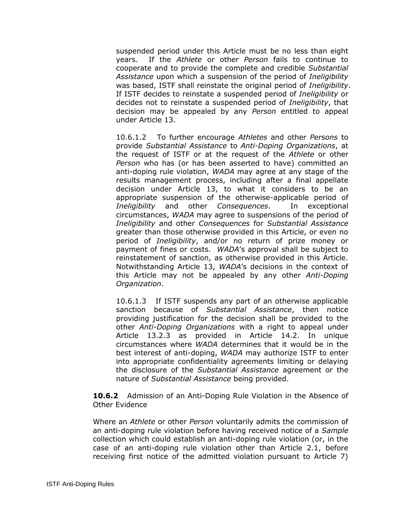suspended period under this Article must be no less than eight years. If the *Athlete* or other *Person* fails to continue to cooperate and to provide the complete and credible *Substantial Assistance* upon which a suspension of the period of *Ineligibility* was based, ISTF shall reinstate the original period of *Ineligibility*. If ISTF decides to reinstate a suspended period of *Ineligibility* or decides not to reinstate a suspended period of *Ineligibility*, that decision may be appealed by any *Person* entitled to appeal under Article 13.

10.6.1.2 To further encourage *Athletes* and other *Persons* to provide *Substantial Assistance* to *Anti-Doping Organizations*, at the request of ISTF or at the request of the *Athlete* or other *Person* who has (or has been asserted to have) committed an anti-doping rule violation, *WADA* may agree at any stage of the results management process, including after a final appellate decision under Article 13, to what it considers to be an appropriate suspension of the otherwise-applicable period of *Ineligibility* and other *Consequences*. In exceptional circumstances, *WADA* may agree to suspensions of the period of *Ineligibility* and other *Consequences* for *Substantial Assistance* greater than those otherwise provided in this Article, or even no period of *Ineligibility*, and/or no return of prize money or payment of fines or costs. *WADA*'s approval shall be subject to reinstatement of sanction, as otherwise provided in this Article. Notwithstanding Article 13, *WADA*'s decisions in the context of this Article may not be appealed by any other *Anti-Doping Organization*.

10.6.1.3 If ISTF suspends any part of an otherwise applicable sanction because of *Substantial Assistance*, then notice providing justification for the decision shall be provided to the other *Anti-Doping Organizations* with a right to appeal under Article 13.2.3 as provided in Article 14.2. In unique circumstances where *WADA* determines that it would be in the best interest of anti-doping, *WADA* may authorize ISTF to enter into appropriate confidentiality agreements limiting or delaying the disclosure of the *Substantial Assistance* agreement or the nature of *Substantial Assistance* being provided.

**10.6.2** Admission of an Anti-Doping Rule Violation in the Absence of Other Evidence

Where an *Athlete* or other *Person* voluntarily admits the commission of an anti-doping rule violation before having received notice of a *Sample*  collection which could establish an anti-doping rule violation (or, in the case of an anti-doping rule violation other than Article 2.1, before receiving first notice of the admitted violation pursuant to Article 7)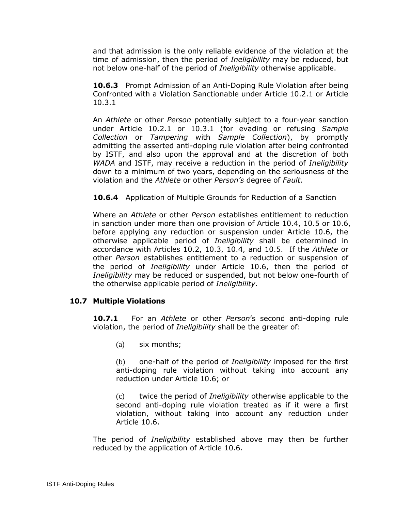and that admission is the only reliable evidence of the violation at the time of admission, then the period of *Ineligibility* may be reduced, but not below one-half of the period of *Ineligibility* otherwise applicable.

**10.6.3** Prompt Admission of an Anti-Doping Rule Violation after being Confronted with a Violation Sanctionable under Article 10.2.1 or Article 10.3.1

An *Athlete* or other *Person* potentially subject to a four-year sanction under Article 10.2.1 or 10.3.1 (for evading or refusing *Sample Collection* or *Tampering* with *Sample Collection*), by promptly admitting the asserted anti-doping rule violation after being confronted by ISTF, and also upon the approval and at the discretion of both *WADA* and ISTF, may receive a reduction in the period of *Ineligibility* down to a minimum of two years, depending on the seriousness of the violation and the *Athlete* or other *Person's* degree of *Fault*.

**10.6.4** Application of Multiple Grounds for Reduction of a Sanction

Where an *Athlete* or other *Person* establishes entitlement to reduction in sanction under more than one provision of Article 10.4, 10.5 or 10.6, before applying any reduction or suspension under Article 10.6, the otherwise applicable period of *Ineligibility* shall be determined in accordance with Articles 10.2, 10.3, 10.4, and 10.5. If the *Athlete* or other *Person* establishes entitlement to a reduction or suspension of the period of *Ineligibility* under Article 10.6, then the period of *Ineligibility* may be reduced or suspended, but not below one-fourth of the otherwise applicable period of *Ineligibility*.

## **10.7 Multiple Violations**

**10.7.1** For an *Athlete* or other *Person*'s second anti-doping rule violation, the period of *Ineligibility* shall be the greater of:

(a) six months;

(b) one-half of the period of *Ineligibility* imposed for the first anti-doping rule violation without taking into account any reduction under Article 10.6; or

(c) twice the period of *Ineligibility* otherwise applicable to the second anti-doping rule violation treated as if it were a first violation, without taking into account any reduction under Article 10.6.

The period of *Ineligibility* established above may then be further reduced by the application of Article 10.6.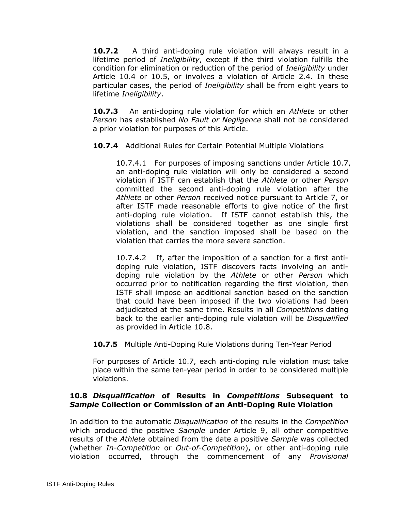**10.7.2** A third anti-doping rule violation will always result in a lifetime period of *Ineligibility*, except if the third violation fulfills the condition for elimination or reduction of the period of *Ineligibility* under Article 10.4 or 10.5, or involves a violation of Article 2.4. In these particular cases, the period of *Ineligibility* shall be from eight years to lifetime *Ineligibility*.

**10.7.3** An anti-doping rule violation for which an *Athlete* or other *Person* has established *No Fault or Negligence* shall not be considered a prior violation for purposes of this Article.

**10.7.4** Additional Rules for Certain Potential Multiple Violations

10.7.4.1 For purposes of imposing sanctions under Article 10.7, an anti-doping rule violation will only be considered a second violation if ISTF can establish that the *Athlete* or other *Person* committed the second anti-doping rule violation after the *Athlete* or other *Person* received notice pursuant to Article 7, or after ISTF made reasonable efforts to give notice of the first anti-doping rule violation. If ISTF cannot establish this, the violations shall be considered together as one single first violation, and the sanction imposed shall be based on the violation that carries the more severe sanction.

10.7.4.2 If, after the imposition of a sanction for a first antidoping rule violation, ISTF discovers facts involving an antidoping rule violation by the *Athlete* or other *Person* which occurred prior to notification regarding the first violation, then ISTF shall impose an additional sanction based on the sanction that could have been imposed if the two violations had been adjudicated at the same time. Results in all *Competitions* dating back to the earlier anti-doping rule violation will be *Disqualified* as provided in Article 10.8.

**10.7.5** Multiple Anti-Doping Rule Violations during Ten-Year Period

For purposes of Article 10.7, each anti-doping rule violation must take place within the same ten-year period in order to be considered multiple violations.

## **10.8** *Disqualification* **of Results in** *Competitions* **Subsequent to**  *Sample* **Collection or Commission of an Anti-Doping Rule Violation**

In addition to the automatic *Disqualification* of the results in the *Competition* which produced the positive *Sample* under Article 9, all other competitive results of the *Athlete* obtained from the date a positive *Sample* was collected (whether *In-Competition* or *Out-of-Competition*), or other anti-doping rule violation occurred, through the commencement of any *Provisional*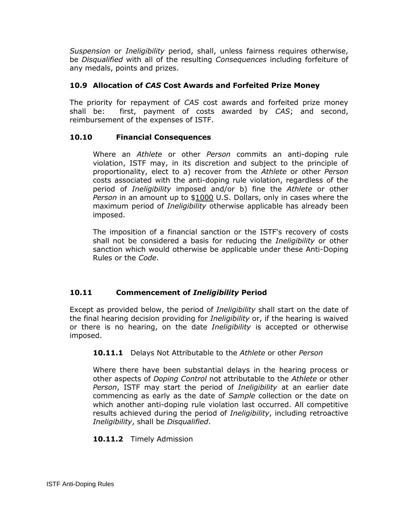*Suspension* or *Ineligibility* period, shall, unless fairness requires otherwise, be *Disqualified* with all of the resulting *Consequences* including forfeiture of any medals, points and prizes.

# **10.9 Allocation of** *CAS* **Cost Awards and Forfeited Prize Money**

The priority for repayment of *CAS* cost awards and forfeited prize money shall be: first, payment of costs awarded by *CAS*; and second, reimbursement of the expenses of ISTF.

## **10.10 Financial Consequences**

Where an *Athlete* or other *Person* commits an anti-doping rule violation, ISTF may, in its discretion and subject to the principle of proportionality, elect to a) recover from the *Athlete* or other *Person*  costs associated with the anti-doping rule violation, regardless of the period of *Ineligibility* imposed and/or b) fine the *Athlete* or other *Person* in an amount up to \$1000 U.S. Dollars, only in cases where the maximum period of *Ineligibility* otherwise applicable has already been imposed.

The imposition of a financial sanction or the ISTF's recovery of costs shall not be considered a basis for reducing the *Ineligibility* or other sanction which would otherwise be applicable under these Anti-Doping Rules or the *Code*.

# **10.11 Commencement of** *Ineligibility* **Period**

Except as provided below, the period of *Ineligibility* shall start on the date of the final hearing decision providing for *Ineligibility* or, if the hearing is waived or there is no hearing, on the date *Ineligibility* is accepted or otherwise imposed.

## **10.11.1** Delays Not Attributable to the *Athlete* or other *Person*

Where there have been substantial delays in the hearing process or other aspects of *Doping Control* not attributable to the *Athlete* or other *Person*, ISTF may start the period of *Ineligibility* at an earlier date commencing as early as the date of *Sample* collection or the date on which another anti-doping rule violation last occurred. All competitive results achieved during the period of *Ineligibility*, including retroactive *Ineligibility*, shall be *Disqualified*.

## **10.11.2** Timely Admission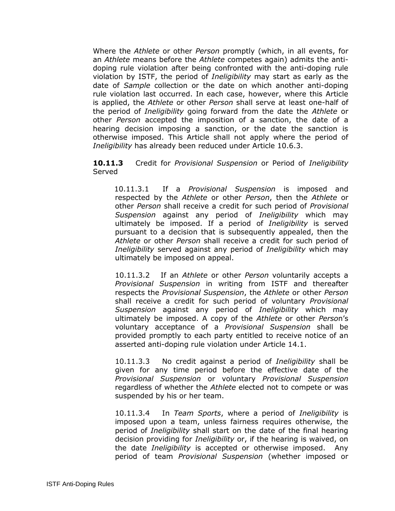Where the *Athlete* or other *Person* promptly (which, in all events, for an *Athlete* means before the *Athlete* competes again) admits the antidoping rule violation after being confronted with the anti-doping rule violation by ISTF, the period of *Ineligibility* may start as early as the date of *Sample* collection or the date on which another anti-doping rule violation last occurred. In each case, however, where this Article is applied, the *Athlete* or other *Person* shall serve at least one-half of the period of *Ineligibility* going forward from the date the *Athlete* or other *Person* accepted the imposition of a sanction, the date of a hearing decision imposing a sanction, or the date the sanction is otherwise imposed. This Article shall not apply where the period of *Ineligibility* has already been reduced under Article 10.6.3.

**10.11.3** Credit for *Provisional Suspension* or Period of *Ineligibility*  Served

10.11.3.1 If a *Provisional Suspension* is imposed and respected by the *Athlete* or other *Person*, then the *Athlete* or other *Person* shall receive a credit for such period of *Provisional Suspension* against any period of *Ineligibility* which may ultimately be imposed. If a period of *Ineligibility* is served pursuant to a decision that is subsequently appealed, then the *Athlete* or other *Person* shall receive a credit for such period of *Ineligibility* served against any period of *Ineligibility* which may ultimately be imposed on appeal.

10.11.3.2 If an *Athlete* or other *Person* voluntarily accepts a *Provisional Suspension* in writing from ISTF and thereafter respects the *Provisional Suspension*, the *Athlete* or other *Person* shall receive a credit for such period of voluntary *Provisional Suspension* against any period of *Ineligibility* which may ultimately be imposed. A copy of the *Athlete* or other *Perso*n's voluntary acceptance of a *Provisional Suspension* shall be provided promptly to each party entitled to receive notice of an asserted anti-doping rule violation under Article 14.1.

10.11.3.3 No credit against a period of *Ineligibility* shall be given for any time period before the effective date of the *Provisional Suspension* or voluntary *Provisional Suspension* regardless of whether the *Athlete* elected not to compete or was suspended by his or her team.

10.11.3.4 In *Team Sports*, where a period of *Ineligibility* is imposed upon a team, unless fairness requires otherwise, the period of *Ineligibility* shall start on the date of the final hearing decision providing for *Ineligibility* or, if the hearing is waived, on the date *Ineligibility* is accepted or otherwise imposed. Any period of team *Provisional Suspension* (whether imposed or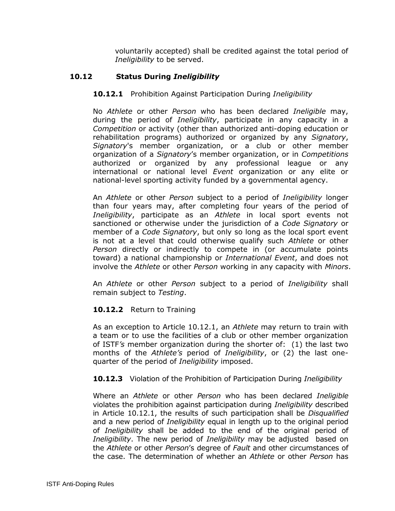voluntarily accepted) shall be credited against the total period of *Ineligibility* to be served.

# **10.12 Status During** *Ineligibility*

#### **10.12.1** Prohibition Against Participation During *Ineligibility*

No *Athlete* or other *Person* who has been declared *Ineligible* may, during the period of *Ineligibility*, participate in any capacity in a *Competition* or activity (other than authorized anti-doping education or rehabilitation programs) authorized or organized by any *Signatory*, *Signatory*'s member organization, or a club or other member organization of a *Signatory*'s member organization, or in *Competitions* authorized or organized by any professional league or any international or national level *Event* organization or any elite or national-level sporting activity funded by a governmental agency.

An *Athlete* or other *Person* subject to a period of *Ineligibility* longer than four years may, after completing four years of the period of *Ineligibility*, participate as an *Athlete* in local sport events not sanctioned or otherwise under the jurisdiction of a *Code Signatory* or member of a *Code Signatory*, but only so long as the local sport event is not at a level that could otherwise qualify such *Athlete* or other *Person* directly or indirectly to compete in (or accumulate points toward) a national championship or *International Event*, and does not involve the *Athlete* or other *Person* working in any capacity with *Minors*.

An *Athlete* or other *Person* subject to a period of *Ineligibility* shall remain subject to *Testing*.

#### **10.12.2** Return to Training

As an exception to Article 10.12.1, an *Athlete* may return to train with a team or to use the facilities of a club or other member organization of ISTF*'s* member organization during the shorter of: (1) the last two months of the *Athlete's* period of *Ineligibility*, or (2) the last onequarter of the period of *Ineligibility* imposed.

#### **10.12.3** Violation of the Prohibition of Participation During *Ineligibility*

Where an *Athlete* or other *Person* who has been declared *Ineligible* violates the prohibition against participation during *Ineligibility* described in Article 10.12.1, the results of such participation shall be *Disqualified* and a new period of *Ineligibility* equal in length up to the original period of *Ineligibility* shall be added to the end of the original period of *Ineligibility*. The new period of *Ineligibility* may be adjusted based on the *Athlete* or other *Person*'s degree of *Fault* and other circumstances of the case. The determination of whether an *Athlete* or other *Person* has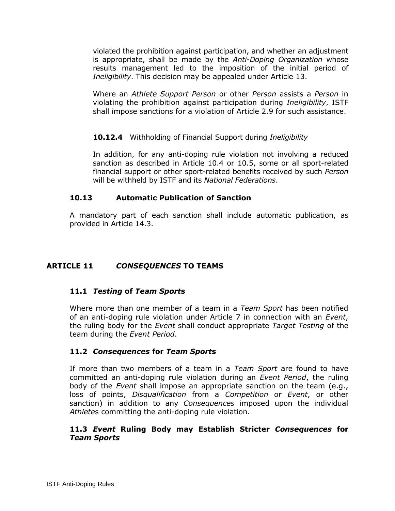violated the prohibition against participation, and whether an adjustment is appropriate, shall be made by the *Anti-Doping Organization* whose results management led to the imposition of the initial period of *Ineligibility*. This decision may be appealed under Article 13.

Where an *Athlete Support Person* or other *Person* assists a *Person* in violating the prohibition against participation during *Ineligibility*, ISTF shall impose sanctions for a violation of Article 2.9 for such assistance.

**10.12.4** Withholding of Financial Support during *Ineligibility*

In addition, for any anti-doping rule violation not involving a reduced sanction as described in Article 10.4 or 10.5, some or all sport-related financial support or other sport-related benefits received by such *Person* will be withheld by ISTF and its *National Federations*.

## **10.13 Automatic Publication of Sanction**

A mandatory part of each sanction shall include automatic publication, as provided in Article 14.3.

# <span id="page-39-0"></span>**ARTICLE 11** *CONSEQUENCES* **TO TEAMS**

# **11.1** *Testing* **of** *Team Sport***s**

Where more than one member of a team in a *Team Sport* has been notified of an anti-doping rule violation under Article 7 in connection with an *Event*, the ruling body for the *Event* shall conduct appropriate *Target Testing* of the team during the *Event Period*.

## **11.2** *Consequences* **for** *Team Sport***s**

If more than two members of a team in a *Team Sport* are found to have committed an anti-doping rule violation during an *Event Period*, the ruling body of the *Event* shall impose an appropriate sanction on the team (e.g., loss of points, *Disqualification* from a *Competition* or *Event*, or other sanction) in addition to any *Consequences* imposed upon the individual *Athlete*s committing the anti-doping rule violation.

## **11.3** *Event* **Ruling Body may Establish Stricter** *Consequences* **for**  *Team Sports*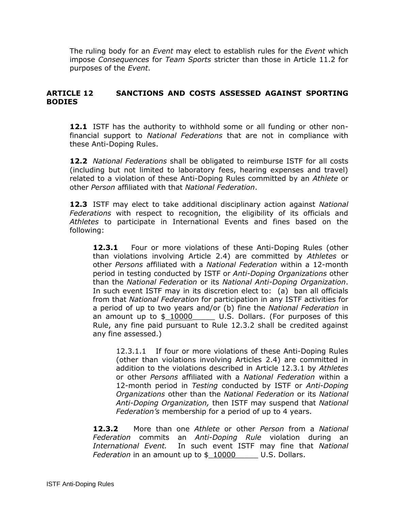The ruling body for an *Event* may elect to establish rules for the *Event* which impose *Consequences* for *Team Sports* stricter than those in Article 11.2 for purposes of the *Event*.

# <span id="page-40-0"></span>**ARTICLE 12 SANCTIONS AND COSTS ASSESSED AGAINST SPORTING BODIES**

**12.1** ISTF has the authority to withhold some or all funding or other nonfinancial support to *National Federations* that are not in compliance with these Anti-Doping Rules.

**12.2** *National Federations* shall be obligated to reimburse ISTF for all costs (including but not limited to laboratory fees, hearing expenses and travel) related to a violation of these Anti-Doping Rules committed by an *Athlete* or other *Person* affiliated with that *National Federation*.

**12.3** ISTF may elect to take additional disciplinary action against *National Federations* with respect to recognition, the eligibility of its officials and *Athletes* to participate in International Events and fines based on the following:

12.3.1 Four or more violations of these Anti-Doping Rules (other than violations involving Article 2.4) are committed by *Athletes* or other *Persons* affiliated with a *National Federation* within a 12-month period in testing conducted by ISTF or *Anti-Doping Organizations* other than the *National Federation* or its *National Anti-Doping Organization*. In such event ISTF may in its discretion elect to: (a) ban all officials from that *National Federation* for participation in any ISTF activities for a period of up to two years and/or (b) fine the *National Federation* in an amount up to \$\_10000 U.S. Dollars. (For purposes of this Rule, any fine paid pursuant to Rule 12.3.2 shall be credited against any fine assessed.)

12.3.1.1 If four or more violations of these Anti-Doping Rules (other than violations involving Articles 2.4) are committed in addition to the violations described in Article 12.3.1 by *Athletes* or other *Persons* affiliated with a *National Federation* within a 12-month period in *Testing* conducted by ISTF or *Anti-Doping Organizations* other than the *National Federation* or its *National Anti-Doping Organization,* then ISTF may suspend that *National Federation's* membership for a period of up to 4 years.

**12.3.2** More than one *Athlete* or other *Person* from a *National Federation* commits an *Anti-Doping Rule* violation during an *International Event.* In such event ISTF may fine that *National Federation* in an amount up to \$ 10000 U.S. Dollars.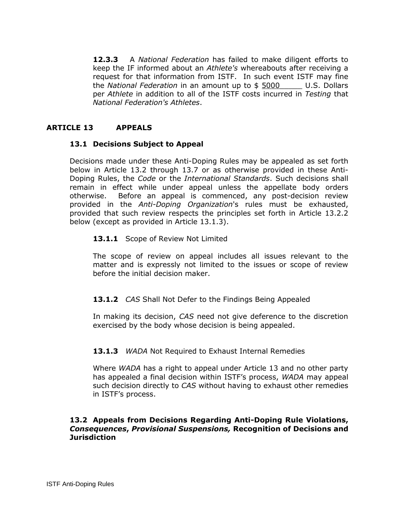**12.3.3** A *National Federation* has failed to make diligent efforts to keep the IF informed about an *Athlete's* whereabouts after receiving a request for that information from ISTF. In such event ISTF may fine the *National Federation* in an amount up to \$ 5000\_\_\_\_\_ U.S. Dollars per *Athlete* in addition to all of the ISTF costs incurred in *Testing* that *National Federation's Athletes*.

## <span id="page-41-0"></span>**ARTICLE 13 APPEALS**

#### **13.1 Decisions Subject to Appeal**

Decisions made under these Anti-Doping Rules may be appealed as set forth below in Article 13.2 through 13.7 or as otherwise provided in these Anti-Doping Rules, the *Code* or the *International Standards*. Such decisions shall remain in effect while under appeal unless the appellate body orders otherwise. Before an appeal is commenced, any post-decision review provided in the *Anti-Doping Organization*'s rules must be exhausted, provided that such review respects the principles set forth in Article 13.2.2 below (except as provided in Article 13.1.3).

#### 13.1.1 Scope of Review Not Limited

The scope of review on appeal includes all issues relevant to the matter and is expressly not limited to the issues or scope of review before the initial decision maker.

#### **13.1.2** *CAS* Shall Not Defer to the Findings Being Appealed

In making its decision, *CAS* need not give deference to the discretion exercised by the body whose decision is being appealed.

#### **13.1.3** *WADA* Not Required to Exhaust Internal Remedies

Where *WADA* has a right to appeal under Article 13 and no other party has appealed a final decision within ISTF's process, *WADA* may appeal such decision directly to *CAS* without having to exhaust other remedies in ISTF's process.

#### **13.2 Appeals from Decisions Regarding Anti-Doping Rule Violations,**  *Consequences***,** *Provisional Suspensions,* **Recognition of Decisions and Jurisdiction**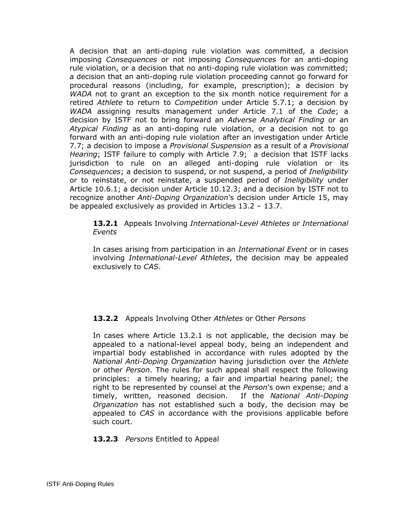A decision that an anti-doping rule violation was committed, a decision imposing *Consequences* or not imposing *Consequences* for an anti-doping rule violation, or a decision that no anti-doping rule violation was committed; a decision that an anti-doping rule violation proceeding cannot go forward for procedural reasons (including, for example, prescription); a decision by *WADA* not to grant an exception to the six month notice requirement for a retired *Athlete* to return to *Competition* under Article 5.7.1; a decision by *WADA* assigning results management under Article 7.1 of the *Code*; a decision by ISTF not to bring forward an *Adverse Analytical Finding* or an *Atypical Finding* as an anti-doping rule violation, or a decision not to go forward with an anti-doping rule violation after an investigation under Article 7.7; a decision to impose a *Provisional Suspension* as a result of a *Provisional Hearing*; ISTF failure to comply with Article 7.9; a decision that ISTF lacks jurisdiction to rule on an alleged anti-doping rule violation or its *Consequences*; a decision to suspend, or not suspend, a period of *Ineligibility* or to reinstate, or not reinstate, a suspended period of *Ineligibility* under Article 10.6.1; a decision under Article 10.12.3; and a decision by ISTF not to recognize another *Anti-Doping Organization*'s decision under Article 15, may be appealed exclusively as provided in Articles 13.2 – 13.7.

**13.2.1** Appeals Involving *International-Level Athletes* or *International Events*

In cases arising from participation in an *International Event* or in cases involving *International-Level Athletes*, the decision may be appealed exclusively to *CAS*.

## **13.2.2** Appeals Involving Other *Athletes* or Other *Persons*

In cases where Article 13.2.1 is not applicable, the decision may be appealed to a national-level appeal body, being an independent and impartial body established in accordance with rules adopted by the *National Anti-Doping Organization* having jurisdiction over the *Athlete* or other *Person*. The rules for such appeal shall respect the following principles: a timely hearing; a fair and impartial hearing panel; the right to be represented by counsel at the *Person*'s own expense; and a timely, written, reasoned decision. If the *National Anti-Doping Organization* has not established such a body, the decision may be appealed to *CAS* in accordance with the provisions applicable before such court.

## **13.2.3** *Persons* Entitled to Appeal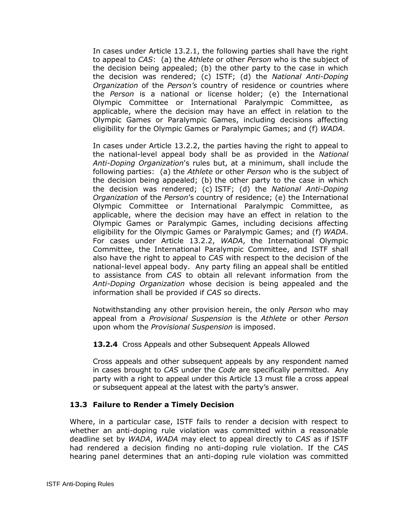In cases under Article 13.2.1, the following parties shall have the right to appeal to *CAS*: (a) the *Athlete* or other *Person* who is the subject of the decision being appealed; (b) the other party to the case in which the decision was rendered; (c) ISTF; (d) the *National Anti-Doping Organization* of the *Person's* country of residence or countries where the *Person* is a national or license holder; (e) the International Olympic Committee or International Paralympic Committee, as applicable, where the decision may have an effect in relation to the Olympic Games or Paralympic Games, including decisions affecting eligibility for the Olympic Games or Paralympic Games; and (f) *WADA*.

In cases under Article 13.2.2, the parties having the right to appeal to the national-level appeal body shall be as provided in the *National Anti-Doping Organization*'s rules but, at a minimum, shall include the following parties: (a) the *Athlete* or other *Person* who is the subject of the decision being appealed; (b) the other party to the case in which the decision was rendered; (c) ISTF; (d) the *National Anti-Doping Organization* of the *Person*'s country of residence; (e) the International Olympic Committee or International Paralympic Committee, as applicable, where the decision may have an effect in relation to the Olympic Games or Paralympic Games, including decisions affecting eligibility for the Olympic Games or Paralympic Games; and (f) *WADA*. For cases under Article 13.2.2, *WADA*, the International Olympic Committee, the International Paralympic Committee, and ISTF shall also have the right to appeal to *CAS* with respect to the decision of the national-level appeal body. Any party filing an appeal shall be entitled to assistance from *CAS* to obtain all relevant information from the *Anti-Doping Organization* whose decision is being appealed and the information shall be provided if *CAS* so directs.

Notwithstanding any other provision herein, the only *Person* who may appeal from a *Provisional Suspension* is the *Athlete* or other *Person* upon whom the *Provisional Suspension* is imposed.

## **13.2.4** Cross Appeals and other Subsequent Appeals Allowed

Cross appeals and other subsequent appeals by any respondent named in cases brought to *CAS* under the *Code* are specifically permitted. Any party with a right to appeal under this Article 13 must file a cross appeal or subsequent appeal at the latest with the party's answer.

## **13.3 Failure to Render a Timely Decision**

Where, in a particular case, ISTF fails to render a decision with respect to whether an anti-doping rule violation was committed within a reasonable deadline set by *WADA*, *WADA* may elect to appeal directly to *CAS* as if ISTF had rendered a decision finding no anti-doping rule violation. If the *CAS* hearing panel determines that an anti-doping rule violation was committed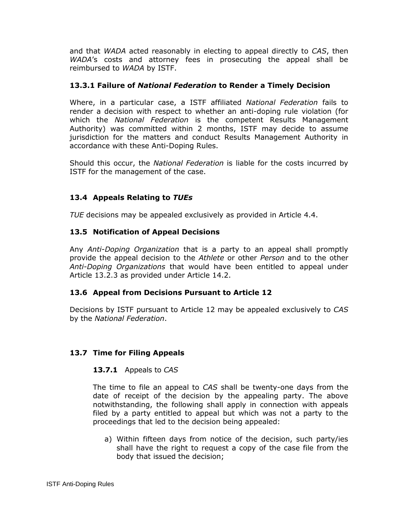and that *WADA* acted reasonably in electing to appeal directly to *CAS*, then *WADA*'s costs and attorney fees in prosecuting the appeal shall be reimbursed to *WADA* by ISTF.

## **13.3.1 Failure of** *National Federation* **to Render a Timely Decision**

Where, in a particular case, a ISTF affiliated *National Federation* fails to render a decision with respect to whether an anti-doping rule violation (for which the *National Federation* is the competent Results Management Authority) was committed within 2 months, ISTF may decide to assume jurisdiction for the matters and conduct Results Management Authority in accordance with these Anti-Doping Rules.

Should this occur, the *National Federation* is liable for the costs incurred by ISTF for the management of the case.

## **13.4 Appeals Relating to** *TUEs*

*TUE* decisions may be appealed exclusively as provided in Article 4.4.

## **13.5 Notification of Appeal Decisions**

Any *Anti-Doping Organization* that is a party to an appeal shall promptly provide the appeal decision to the *Athlete* or other *Person* and to the other *Anti-Doping Organizations* that would have been entitled to appeal under Article 13.2.3 as provided under Article 14.2.

## **13.6 Appeal from Decisions Pursuant to Article 12**

Decisions by ISTF pursuant to Article 12 may be appealed exclusively to *CAS* by the *National Federation*.

## **13.7 Time for Filing Appeals**

## **13.7.1** Appeals to *CAS*

The time to file an appeal to *CAS* shall be twenty-one days from the date of receipt of the decision by the appealing party. The above notwithstanding, the following shall apply in connection with appeals filed by a party entitled to appeal but which was not a party to the proceedings that led to the decision being appealed:

a) Within fifteen days from notice of the decision, such party/ies shall have the right to request a copy of the case file from the body that issued the decision;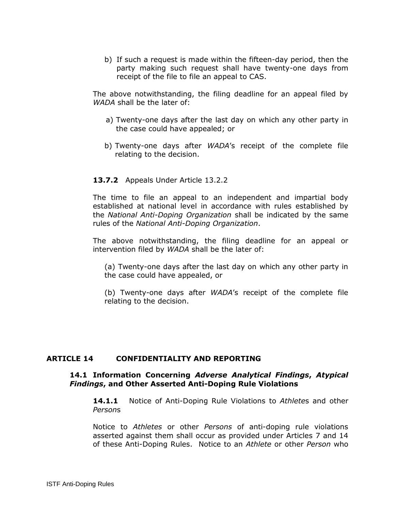b) If such a request is made within the fifteen-day period, then the party making such request shall have twenty-one days from receipt of the file to file an appeal to CAS.

The above notwithstanding, the filing deadline for an appeal filed by *WADA* shall be the later of:

- a) Twenty-one days after the last day on which any other party in the case could have appealed; or
- b) Twenty-one days after *WADA*'s receipt of the complete file relating to the decision.

#### **13.7.2** Appeals Under Article 13.2.2

The time to file an appeal to an independent and impartial body established at national level in accordance with rules established by the *National Anti-Doping Organization* shall be indicated by the same rules of the *National Anti-Doping Organization*.

The above notwithstanding, the filing deadline for an appeal or intervention filed by *WADA* shall be the later of:

(a) Twenty-one days after the last day on which any other party in the case could have appealed, or

(b) Twenty-one days after *WADA*'s receipt of the complete file relating to the decision.

#### <span id="page-45-0"></span>**ARTICLE 14 CONFIDENTIALITY AND REPORTING**

#### **14.1 Information Concerning** *Adverse Analytical Findings***,** *Atypical Findings***, and Other Asserted Anti-Doping Rule Violations**

**14.1.1** Notice of Anti-Doping Rule Violations to *Athlete*s and other *Person*s

Notice to *Athletes* or other *Persons* of anti-doping rule violations asserted against them shall occur as provided under Articles 7 and 14 of these Anti-Doping Rules. Notice to an *Athlete* or other *Person* who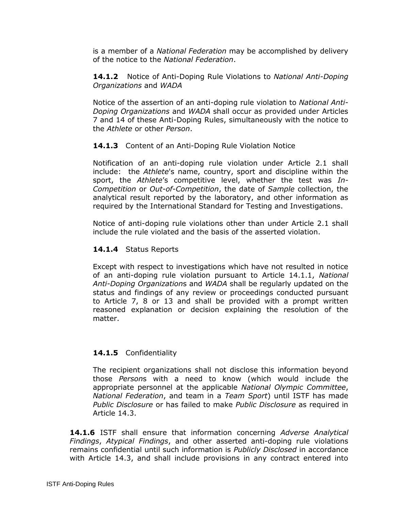is a member of a *National Federation* may be accomplished by delivery of the notice to the *National Federation*.

**14.1.2** Notice of Anti-Doping Rule Violations to *National Anti-Doping Organizations* and *WADA*

Notice of the assertion of an anti-doping rule violation to *National Anti-Doping Organizations* and *WADA* shall occur as provided under Articles 7 and 14 of these Anti-Doping Rules, simultaneously with the notice to the *Athlete* or other *Person*.

## **14.1.3** Content of an Anti-Doping Rule Violation Notice

Notification of an anti-doping rule violation under Article 2.1 shall include: the *Athlete*'s name, country, sport and discipline within the sport, the *Athlete*'s competitive level, whether the test was *In-Competition* or *Out-of-Competition*, the date of *Sample* collection, the analytical result reported by the laboratory, and other information as required by the International Standard for Testing and Investigations.

Notice of anti-doping rule violations other than under Article 2.1 shall include the rule violated and the basis of the asserted violation.

## **14.1.4** Status Reports

Except with respect to investigations which have not resulted in notice of an anti-doping rule violation pursuant to Article 14.1.1, *National Anti-Doping Organization*s and *WADA* shall be regularly updated on the status and findings of any review or proceedings conducted pursuant to Article 7, 8 or 13 and shall be provided with a prompt written reasoned explanation or decision explaining the resolution of the matter.

## **14.1.5** Confidentiality

The recipient organizations shall not disclose this information beyond those *Person*s with a need to know (which would include the appropriate personnel at the applicable *National Olympic Committee*, *National Federation*, and team in a *Team Sport*) until ISTF has made *Public Disclosure* or has failed to make *Public Disclosure* as required in Article 14.3.

**14.1.6** ISTF shall ensure that information concerning *Adverse Analytical Findings*, *Atypical Findings*, and other asserted anti-doping rule violations remains confidential until such information is *Publicly Disclosed* in accordance with Article 14.3, and shall include provisions in any contract entered into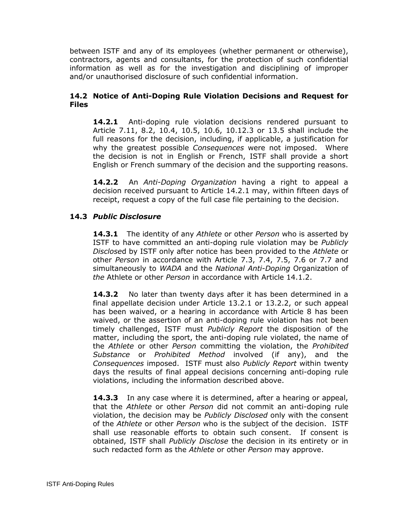between ISTF and any of its employees (whether permanent or otherwise), contractors, agents and consultants, for the protection of such confidential information as well as for the investigation and disciplining of improper and/or unauthorised disclosure of such confidential information.

## **14.2 Notice of Anti-Doping Rule Violation Decisions and Request for Files**

**14.2.1** Anti-doping rule violation decisions rendered pursuant to Article 7.11, 8.2, 10.4, 10.5, 10.6, 10.12.3 or 13.5 shall include the full reasons for the decision, including, if applicable, a justification for why the greatest possible *Consequences* were not imposed. Where the decision is not in English or French, ISTF shall provide a short English or French summary of the decision and the supporting reasons.

**14.2.2** An *Anti-Doping Organization* having a right to appeal a decision received pursuant to Article 14.2.1 may, within fifteen days of receipt, request a copy of the full case file pertaining to the decision.

# **14.3** *Public Disclosure*

**14.3.1** The identity of any *Athlete* or other *Person* who is asserted by ISTF to have committed an anti-doping rule violation may be *Publicly Disclose*d by ISTF only after notice has been provided to the *Athlete* or other *Person* in accordance with Article 7.3, 7.4, 7.5, 7.6 or 7.7 and simultaneously to *WADA* and the *National Anti-Doping* Organization of *the* Athlete or other *Person* in accordance with Article 14.1.2.

**14.3.2** No later than twenty days after it has been determined in a final appellate decision under Article 13.2.1 or 13.2.2, or such appeal has been waived, or a hearing in accordance with Article 8 has been waived, or the assertion of an anti-doping rule violation has not been timely challenged, ISTF must *Publicly Report* the disposition of the matter, including the sport, the anti-doping rule violated, the name of the *Athlete* or other *Person* committing the violation, the *Prohibited Substance* or *Prohibited Method* involved (if any), and the *Consequences* imposed. ISTF must also *Publicly Report* within twenty days the results of final appeal decisions concerning anti-doping rule violations, including the information described above.

**14.3.3** In any case where it is determined, after a hearing or appeal, that the *Athlete* or other *Person* did not commit an anti-doping rule violation, the decision may be *Publicly Disclosed* only with the consent of the *Athlete* or other *Person* who is the subject of the decision. ISTF shall use reasonable efforts to obtain such consent. If consent is obtained, ISTF shall *Publicly Disclose* the decision in its entirety or in such redacted form as the *Athlete* or other *Person* may approve.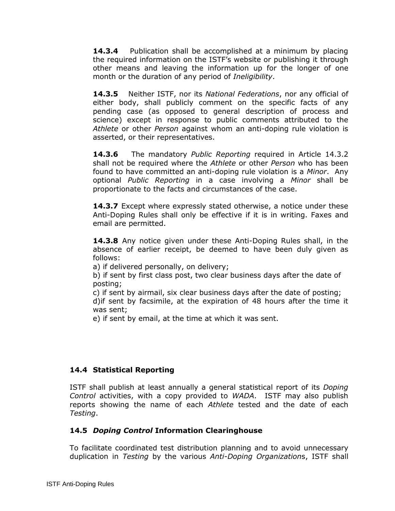**14.3.4** Publication shall be accomplished at a minimum by placing the required information on the ISTF's website or publishing it through other means and leaving the information up for the longer of one month or the duration of any period of *Ineligibility*.

**14.3.5** Neither ISTF, nor its *National Federations*, nor any official of either body, shall publicly comment on the specific facts of any pending case (as opposed to general description of process and science) except in response to public comments attributed to the *Athlete* or other *Person* against whom an anti-doping rule violation is asserted, or their representatives.

**14.3.6** The mandatory *Public Reporting* required in Article 14.3.2 shall not be required where the *Athlete* or other *Person* who has been found to have committed an anti-doping rule violation is a *Minor*. Any optional *Public Reporting* in a case involving a *Minor* shall be proportionate to the facts and circumstances of the case.

**14.3.7** Except where expressly stated otherwise, a notice under these Anti-Doping Rules shall only be effective if it is in writing. Faxes and email are permitted.

**14.3.8** Any notice given under these Anti-Doping Rules shall, in the absence of earlier receipt, be deemed to have been duly given as follows:

a) if delivered personally, on delivery;

b) if sent by first class post, two clear business days after the date of posting;

c) if sent by airmail, six clear business days after the date of posting; d)if sent by facsimile, at the expiration of 48 hours after the time it was sent;

e) if sent by email, at the time at which it was sent.

## **14.4 Statistical Reporting**

ISTF shall publish at least annually a general statistical report of its *Doping Control* activities, with a copy provided to *WADA*. ISTF may also publish reports showing the name of each *Athlete* tested and the date of each *Testing*.

## **14.5** *Doping Control* **Information Clearinghouse**

To facilitate coordinated test distribution planning and to avoid unnecessary duplication in *Testing* by the various *Anti-Doping Organization*s, ISTF shall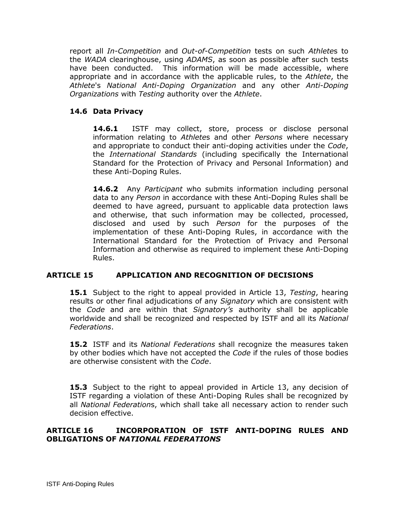report all *In-Competition* and *Out-of-Competition* tests on such *Athlete*s to the *WADA* clearinghouse, using *ADAMS*, as soon as possible after such tests have been conducted. This information will be made accessible, where appropriate and in accordance with the applicable rules, to the *Athlete*, the *Athlete*'s *National Anti-Doping Organization* and any other *Anti-Doping Organizations* with *Testing* authority over the *Athlete*.

## **14.6 Data Privacy**

**14.6.1** ISTF may collect, store, process or disclose personal information relating to *Athlete*s and other *Persons* where necessary and appropriate to conduct their anti-doping activities under the *Code*, the *International Standards* (including specifically the International Standard for the Protection of Privacy and Personal Information) and these Anti-Doping Rules.

**14.6.2** Any *Participant* who submits information including personal data to any *Person* in accordance with these Anti-Doping Rules shall be deemed to have agreed, pursuant to applicable data protection laws and otherwise, that such information may be collected, processed, disclosed and used by such *Person* for the purposes of the implementation of these Anti-Doping Rules, in accordance with the International Standard for the Protection of Privacy and Personal Information and otherwise as required to implement these Anti-Doping Rules.

## <span id="page-49-0"></span>**ARTICLE 15 APPLICATION AND RECOGNITION OF DECISIONS**

**15.1** Subject to the right to appeal provided in Article 13, *Testing*, hearing results or other final adjudications of any *Signatory* which are consistent with the *Code* and are within that *Signatory's* authority shall be applicable worldwide and shall be recognized and respected by ISTF and all its *National Federations*.

**15.2** ISTF and its *National Federations* shall recognize the measures taken by other bodies which have not accepted the *Code* if the rules of those bodies are otherwise consistent with the *Code*.

**15.3** Subject to the right to appeal provided in Article 13, any decision of ISTF regarding a violation of these Anti-Doping Rules shall be recognized by all *National Federation*s, which shall take all necessary action to render such decision effective.

## <span id="page-49-1"></span>**ARTICLE 16 INCORPORATION OF ISTF ANTI-DOPING RULES AND OBLIGATIONS OF** *NATIONAL FEDERATIONS*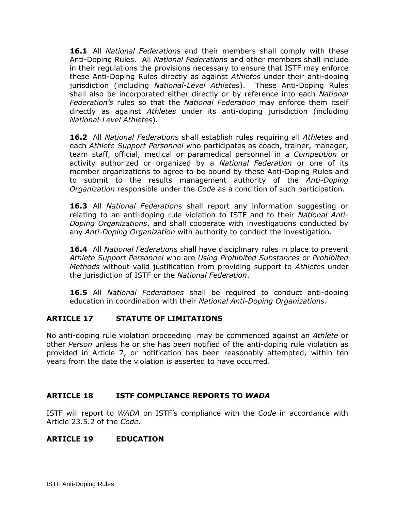**16.1** All *National Federation*s and their members shall comply with these Anti-Doping Rules. All *National Federation*s and other members shall include in their regulations the provisions necessary to ensure that ISTF may enforce these Anti-Doping Rules directly as against *Athletes* under their anti-doping jurisdiction (including *National-Level Athletes*). These Anti-Doping Rules shall also be incorporated either directly or by reference into each *National Federation's* rules so that the *National Federation* may enforce them itself directly as against *Athletes* under its anti-doping jurisdiction (including *National-Level Athletes*).

**16.2** All *National Federation*s shall establish rules requiring all *Athlete*s and each *Athlete Support Personnel* who participates as coach, trainer, manager, team staff, official, medical or paramedical personnel in a *Competition* or activity authorized or organized by a *National Federation* or one of its member organizations to agree to be bound by these Anti-Doping Rules and to submit to the results management authority of the *Anti-Doping Organization* responsible under the *Code* as a condition of such participation.

**16.3** All *National Federation*s shall report any information suggesting or relating to an anti-doping rule violation to ISTF and to their *National Anti-Doping Organizations*, and shall cooperate with investigations conducted by any *Anti-Doping Organization* with authority to conduct the investigation.

**16.4** All *National Federation*s shall have disciplinary rules in place to prevent *Athlete Support Personnel* who are *Using Prohibited Substances* or *Prohibited Methods* without valid justification from providing support to *Athletes* under the jurisdiction of ISTF or the *National Federation*.

**16.5** All *National Federations* shall be required to conduct anti-doping education in coordination with their *National Anti-Doping Organizations.*

## <span id="page-50-0"></span>**ARTICLE 17 STATUTE OF LIMITATIONS**

No anti-doping rule violation proceeding may be commenced against an *Athlete* or other *Person* unless he or she has been notified of the anti-doping rule violation as provided in Article 7, or notification has been reasonably attempted, within ten years from the date the violation is asserted to have occurred.

## <span id="page-50-1"></span>**ARTICLE 18 ISTF COMPLIANCE REPORTS TO** *WADA*

ISTF will report to *WADA* on ISTF's compliance with the *Code* in accordance with Article 23.5.2 of the *Code*.

## <span id="page-50-2"></span>**ARTICLE 19 EDUCATION**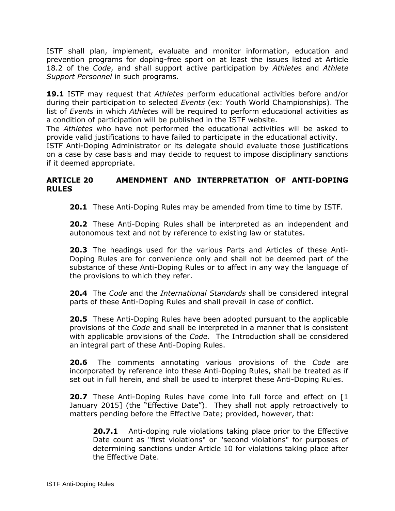ISTF shall plan, implement, evaluate and monitor information, education and prevention programs for doping-free sport on at least the issues listed at Article 18.2 of the *Code*, and shall support active participation by *Athlete*s and *Athlete Support Personnel* in such programs.

**19.1** ISTF may request that *Athletes* perform educational activities before and/or during their participation to selected *Events* (ex: Youth World Championships). The list of *Events* in which *Athletes* will be required to perform educational activities as a condition of participation will be published in the ISTF website.

The *Athletes* who have not performed the educational activities will be asked to provide valid justifications to have failed to participate in the educational activity.

ISTF Anti-Doping Administrator or its delegate should evaluate those justifications on a case by case basis and may decide to request to impose disciplinary sanctions if it deemed appropriate.

## <span id="page-51-0"></span>**ARTICLE 20 AMENDMENT AND INTERPRETATION OF ANTI-DOPING RULES**

**20.1** These Anti-Doping Rules may be amended from time to time by ISTF.

**20.2** These Anti-Doping Rules shall be interpreted as an independent and autonomous text and not by reference to existing law or statutes.

**20.3** The headings used for the various Parts and Articles of these Anti-Doping Rules are for convenience only and shall not be deemed part of the substance of these Anti-Doping Rules or to affect in any way the language of the provisions to which they refer.

**20.4** The *Code* and the *International Standards* shall be considered integral parts of these Anti-Doping Rules and shall prevail in case of conflict.

**20.5** These Anti-Doping Rules have been adopted pursuant to the applicable provisions of the *Code* and shall be interpreted in a manner that is consistent with applicable provisions of the *Code*. The Introduction shall be considered an integral part of these Anti-Doping Rules.

**20.6** The comments annotating various provisions of the *Code* are incorporated by reference into these Anti-Doping Rules, shall be treated as if set out in full herein, and shall be used to interpret these Anti-Doping Rules.

**20.7** These Anti-Doping Rules have come into full force and effect on [1 January 2015] (the "Effective Date"). They shall not apply retroactively to matters pending before the Effective Date; provided, however, that:

**20.7.1** Anti-doping rule violations taking place prior to the Effective Date count as "first violations" or "second violations" for purposes of determining sanctions under Article 10 for violations taking place after the Effective Date.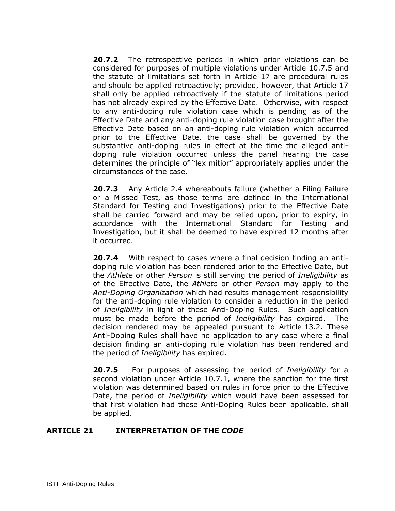**20.7.2** The retrospective periods in which prior violations can be considered for purposes of multiple violations under Article 10.7.5 and the statute of limitations set forth in Article 17 are procedural rules and should be applied retroactively; provided, however, that Article 17 shall only be applied retroactively if the statute of limitations period has not already expired by the Effective Date. Otherwise, with respect to any anti-doping rule violation case which is pending as of the Effective Date and any anti-doping rule violation case brought after the Effective Date based on an anti-doping rule violation which occurred prior to the Effective Date, the case shall be governed by the substantive anti-doping rules in effect at the time the alleged antidoping rule violation occurred unless the panel hearing the case determines the principle of "lex mitior" appropriately applies under the circumstances of the case.

**20.7.3** Any Article 2.4 whereabouts failure (whether a Filing Failure or a Missed Test, as those terms are defined in the International Standard for Testing and Investigations) prior to the Effective Date shall be carried forward and may be relied upon, prior to expiry, in accordance with the International Standard for Testing and Investigation, but it shall be deemed to have expired 12 months after it occurred*.* 

**20.7.4** With respect to cases where a final decision finding an antidoping rule violation has been rendered prior to the Effective Date, but the *Athlete* or other *Person* is still serving the period of *Ineligibility* as of the Effective Date, the *Athlete* or other *Person* may apply to the *Anti-Doping Organization* which had results management responsibility for the anti-doping rule violation to consider a reduction in the period of *Ineligibility* in light of these Anti-Doping Rules. Such application must be made before the period of *Ineligibility* has expired. The decision rendered may be appealed pursuant to Article 13.2. These Anti-Doping Rules shall have no application to any case where a final decision finding an anti-doping rule violation has been rendered and the period of *Ineligibility* has expired.

**20.7.5** For purposes of assessing the period of *Ineligibility* for a second violation under Article 10.7.1, where the sanction for the first violation was determined based on rules in force prior to the Effective Date, the period of *Ineligibility* which would have been assessed for that first violation had these Anti-Doping Rules been applicable, shall be applied.

## <span id="page-52-0"></span>**ARTICLE 21 INTERPRETATION OF THE** *CODE*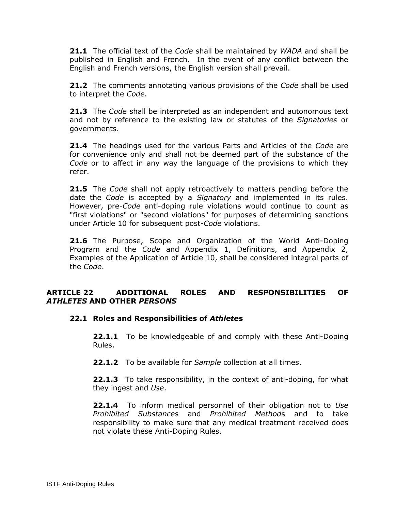**21.1** The official text of the *Code* shall be maintained by *WADA* and shall be published in English and French. In the event of any conflict between the English and French versions, the English version shall prevail.

**21.2** The comments annotating various provisions of the *Code* shall be used to interpret the *Code*.

**21.3** The *Code* shall be interpreted as an independent and autonomous text and not by reference to the existing law or statutes of the *Signatories* or governments.

**21.4** The headings used for the various Parts and Articles of the *Code* are for convenience only and shall not be deemed part of the substance of the *Code* or to affect in any way the language of the provisions to which they refer.

**21.5** The *Code* shall not apply retroactively to matters pending before the date the *Code* is accepted by a *Signatory* and implemented in its rules. However, pre-*Code* anti-doping rule violations would continue to count as "first violations" or "second violations" for purposes of determining sanctions under Article 10 for subsequent post-*Code* violations.

**21.6** The Purpose, Scope and Organization of the World Anti-Doping Program and the *Code* and Appendix 1, Definitions, and Appendix 2, Examples of the Application of Article 10, shall be considered integral parts of the *Code*.

## <span id="page-53-0"></span>**ARTICLE 22 ADDITIONAL ROLES AND RESPONSIBILITIES OF**  *ATHLETES* **AND OTHER** *PERSONS*

## **22.1 Roles and Responsibilities of** *Athlete***s**

**22.1.1** To be knowledgeable of and comply with these Anti-Doping Rules.

**22.1.2** To be available for *Sample* collection at all times.

**22.1.3** To take responsibility, in the context of anti-doping, for what they ingest and *Use*.

**22.1.4** To inform medical personnel of their obligation not to *Use Prohibited Substance*s and *Prohibited Method*s and to take responsibility to make sure that any medical treatment received does not violate these Anti-Doping Rules.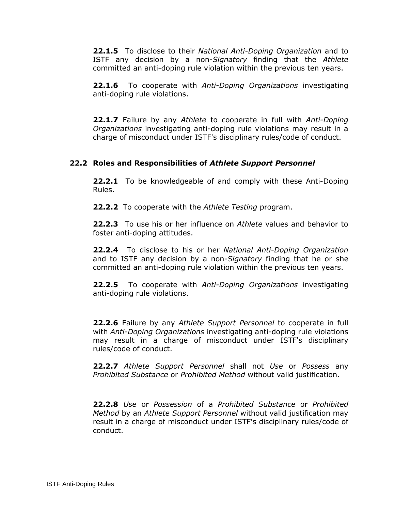**22.1.5** To disclose to their *National Anti-Doping Organization* and to ISTF any decision by a non-*Signatory* finding that the *Athlete* committed an anti-doping rule violation within the previous ten years.

**22.1.6** To cooperate with *Anti-Doping Organizations* investigating anti-doping rule violations.

**22.1.7** Failure by any *Athlete* to cooperate in full with *Anti-Doping Organizations* investigating anti-doping rule violations may result in a charge of misconduct under ISTF's disciplinary rules/code of conduct.

## **22.2 Roles and Responsibilities of** *Athlete Support Personnel*

**22.2.1** To be knowledgeable of and comply with these Anti-Doping Rules.

**22.2.2** To cooperate with the *Athlete Testing* program.

**22.2.3** To use his or her influence on *Athlete* values and behavior to foster anti-doping attitudes.

**22.2.4** To disclose to his or her *National Anti-Doping Organization* and to ISTF any decision by a non-*Signatory* finding that he or she committed an anti-doping rule violation within the previous ten years.

**22.2.5** To cooperate with *Anti-Doping Organizations* investigating anti-doping rule violations.

**22.2.6** Failure by any *Athlete Support Personnel* to cooperate in full with *Anti-Doping Organizations* investigating anti-doping rule violations may result in a charge of misconduct under ISTF's disciplinary rules/code of conduct.

**22.2.7** *Athlete Support Personnel* shall not *Use* or *Possess* any *Prohibited Substance* or *Prohibited Method* without valid justification.

**22.2.8** *Use* or *Possession* of a *Prohibited Substance* or *Prohibited Method* by an *Athlete Support Personnel* without valid justification may result in a charge of misconduct under ISTF's disciplinary rules/code of conduct.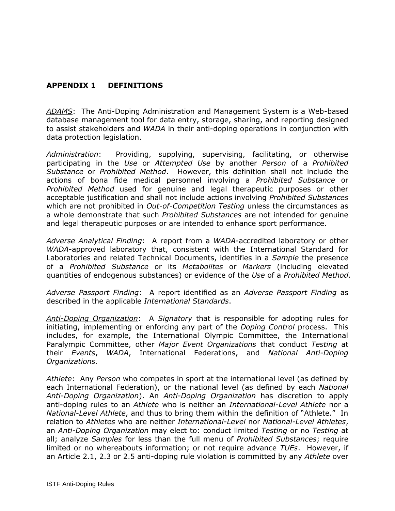# <span id="page-55-0"></span>**APPENDIX 1 DEFINITIONS**

*ADAMS*:The Anti-Doping Administration and Management System is a Web-based database management tool for data entry, storage, sharing, and reporting designed to assist stakeholders and *WADA* in their anti-doping operations in conjunction with data protection legislation.

*Administration*: Providing, supplying, supervising, facilitating, or otherwise participating in the *Use* or *Attempted Use* by another *Person* of a *Prohibited Substance* or *Prohibited Method*. However, this definition shall not include the actions of bona fide medical personnel involving a *Prohibited Substance* or *Prohibited Method* used for genuine and legal therapeutic purposes or other acceptable justification and shall not include actions involving *Prohibited Substances* which are not prohibited in *Out-of-Competition Testing* unless the circumstances as a whole demonstrate that such *Prohibited Substances* are not intended for genuine and legal therapeutic purposes or are intended to enhance sport performance.

*Adverse Analytical Finding*: A report from a *WADA*-accredited laboratory or other *WADA*-approved laboratory that, consistent with the International Standard for Laboratories and related Technical Documents, identifies in a *Sample* the presence of a *Prohibited Substance* or its *Metabolites* or *Markers* (including elevated quantities of endogenous substances) or evidence of the *Use* of a *Prohibited Method*.

*Adverse Passport Finding*: A report identified as an *Adverse Passport Finding* as described in the applicable *International Standards*.

*Anti-Doping Organization*: A *Signatory* that is responsible for adopting rules for initiating, implementing or enforcing any part of the *Doping Control* process. This includes, for example, the International Olympic Committee, the International Paralympic Committee, other *Major Event Organizations* that conduct *Testing* at their *Events*, *WADA*, International Federations, and *National Anti-Doping Organizations.*

*Athlete*: Any *Person* who competes in sport at the international level (as defined by each International Federation), or the national level (as defined by each *National Anti-Doping Organization*). An *Anti-Doping Organization* has discretion to apply anti-doping rules to an *Athlete* who is neither an *International-Level Athlete* nor a *National-Level Athlete*, and thus to bring them within the definition of "Athlete." In relation to *Athletes* who are neither *International*-*Level* nor *National-Level Athletes*, an *Anti-Doping Organization* may elect to: conduct limited *Testing* or no *Testing* at all; analyze *Samples* for less than the full menu of *Prohibited Substances*; require limited or no whereabouts information; or not require advance *TUEs*. However, if an Article 2.1, 2.3 or 2.5 anti-doping rule violation is committed by any *Athlete* over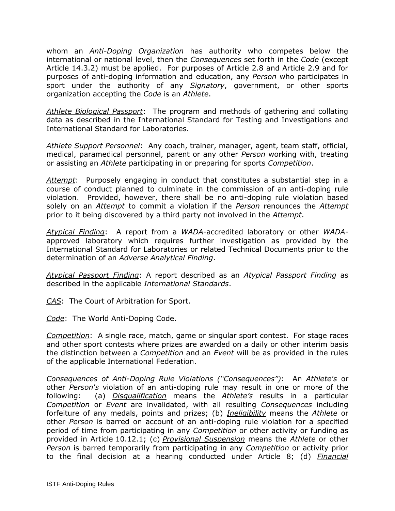whom an *Anti-Doping Organization* has authority who competes below the international or national level, then the *Consequences* set forth in the *Code* (except Article 14.3.2) must be applied. For purposes of Article 2.8 and Article 2.9 and for purposes of anti-doping information and education, any *Person* who participates in sport under the authority of any *Signatory*, government, or other sports organization accepting the *Code* is an *Athlete*.

*Athlete Biological Passport*: The program and methods of gathering and collating data as described in the International Standard for Testing and Investigations and International Standard for Laboratories.

*Athlete Support Personnel*: Any coach, trainer, manager, agent, team staff, official, medical, paramedical personnel, parent or any other *Person* working with, treating or assisting an *Athlete* participating in or preparing for sports *Competition*.

*Attempt*: Purposely engaging in conduct that constitutes a substantial step in a course of conduct planned to culminate in the commission of an anti-doping rule violation. Provided, however, there shall be no anti-doping rule violation based solely on an *Attempt* to commit a violation if the *Person* renounces the *Attempt* prior to it being discovered by a third party not involved in the *Attempt*.

*Atypical Finding*: A report from a *WADA*-accredited laboratory or other *WADA*approved laboratory which requires further investigation as provided by the International Standard for Laboratories or related Technical Documents prior to the determination of an *Adverse Analytical Finding*.

*Atypical Passport Finding*: A report described as an *Atypical Passport Finding* as described in the applicable *International Standards*.

*CAS*: The Court of Arbitration for Sport.

*Code*: The World Anti-Doping Code.

*Competition*: A single race, match, game or singular sport contest. For stage races and other sport contests where prizes are awarded on a daily or other interim basis the distinction between a *Competition* and an *Event* will be as provided in the rules of the applicable International Federation.

*Consequences of Anti-Doping Rule Violations ("Consequences")*: An *Athlete's* or other *Person's* violation of an anti-doping rule may result in one or more of the following: (a) *Disqualification* means the *Athlete's* results in a particular *Competition* or *Event* are invalidated, with all resulting *Consequences* including forfeiture of any medals, points and prizes; (b) *Ineligibility* means the *Athlete* or other *Person* is barred on account of an anti-doping rule violation for a specified period of time from participating in any *Competition* or other activity or funding as provided in Article 10.12.1; (c) *Provisional Suspension* means the *Athlete* or other *Person* is barred temporarily from participating in any *Competition* or activity prior to the final decision at a hearing conducted under Article 8; (d) *Financial*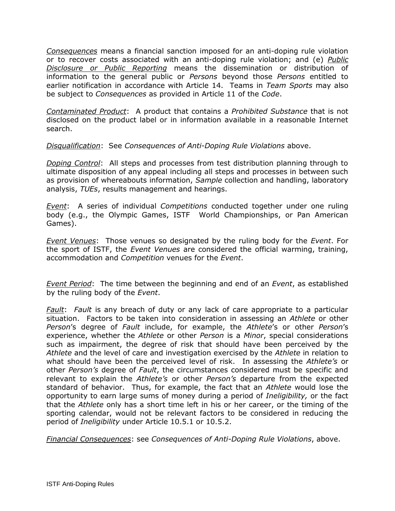*Consequences* means a financial sanction imposed for an anti-doping rule violation or to recover costs associated with an anti-doping rule violation; and (e) *Public Disclosure or Public Reporting* means the dissemination or distribution of information to the general public or *Persons* beyond those *Persons* entitled to earlier notification in accordance with Article 14. Teams in *Team Sports* may also be subject to *Consequences* as provided in Article 11 of the *Code*.

*Contaminated Product*:A product that contains a *Prohibited Substance* that is not disclosed on the product label or in information available in a reasonable Internet search.

*Disqualification*: See *Consequences of Anti-Doping Rule Violations* above.

*Doping Control*: All steps and processes from test distribution planning through to ultimate disposition of any appeal including all steps and processes in between such as provision of whereabouts information, *Sample* collection and handling, laboratory analysis, *TUEs*, results management and hearings.

*Event*: A series of individual *Competitions* conducted together under one ruling body (e.g., the Olympic Games, ISTF World Championships, or Pan American Games).

*Event Venues*: Those venues so designated by the ruling body for the *Event*. For the sport of ISTF, the *Event Venues* are considered the official warming, training, accommodation and *Competition* venues for the *Event*.

*Event Period*: The time between the beginning and end of an *Event*, as established by the ruling body of the *Event*.

*Fault*: *Fault* is any breach of duty or any lack of care appropriate to a particular situation. Factors to be taken into consideration in assessing an *Athlete* or other *Person*'s degree of *Fault* include, for example, the *Athlete*'s or other *Person*'s experience, whether the *Athlete* or other *Person* is a *Minor*, special considerations such as impairment, the degree of risk that should have been perceived by the *Athlete* and the level of care and investigation exercised by the *Athlete* in relation to what should have been the perceived level of risk. In assessing the *Athlete's* or other *Person's* degree of *Fault*, the circumstances considered must be specific and relevant to explain the *Athlete's* or other *Person's* departure from the expected standard of behavior. Thus, for example, the fact that an *Athlete* would lose the opportunity to earn large sums of money during a period of *Ineligibility,* or the fact that the *Athlete* only has a short time left in his or her career, or the timing of the sporting calendar, would not be relevant factors to be considered in reducing the period of *Ineligibility* under Article 10.5.1 or 10.5.2.

*Financial Consequences*: see *Consequences of Anti-Doping Rule Violations*, above.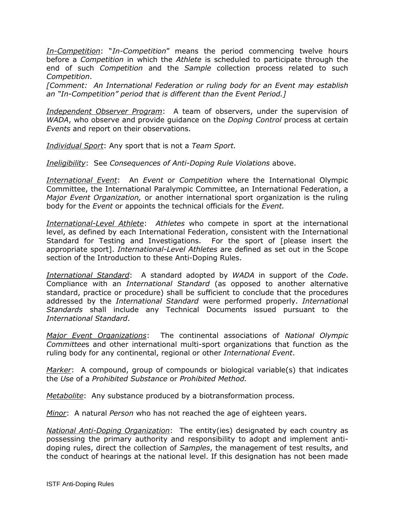*In-Competition*: "*In-Competition*" means the period commencing twelve hours before a *Competition* in which the *Athlete* is scheduled to participate through the end of such *Competition* and the *Sample* collection process related to such *Competition*.

*[Comment: An International Federation or ruling body for an Event may establish an "In-Competition" period that is different than the Event Period.]*

*Independent Observer Program*: A team of observers, under the supervision of *WADA*, who observe and provide guidance on the *Doping Control* process at certain *Events* and report on their observations.

*Individual Sport*: Any sport that is not a *Team Sport.*

*Ineligibility*: See *Consequences of Anti-Doping Rule Violations* above.

*International Event*:An *Event* or *Competition* where the International Olympic Committee, the International Paralympic Committee, an International Federation, a *Major Event Organization,* or another international sport organization is the ruling body for the *Event* or appoints the technical officials for the *Event.*

*International-Level Athlete*: *Athletes* who compete in sport at the international level, as defined by each International Federation, consistent with the International Standard for Testing and Investigations. For the sport of [please insert the appropriate sport]. *International-Level Athletes* are defined as set out in the Scope section of the Introduction to these Anti-Doping Rules.

*International Standard*: A standard adopted by *WADA* in support of the *Code*. Compliance with an *International Standard* (as opposed to another alternative standard, practice or procedure) shall be sufficient to conclude that the procedures addressed by the *International Standard* were performed properly. *Internationa*l *Standards* shall include any Technical Documents issued pursuant to the *International Standard*.

*Major Event Organizations*: The continental associations of *National Olympic Committee*s and other international multi-sport organizations that function as the ruling body for any continental, regional or other *International Event*.

*Marker*: A compound, group of compounds or biological variable(s) that indicates the *Use* of a *Prohibited Substance* or *Prohibited Method.*

*Metabolite*: Any substance produced by a biotransformation process.

*Minor*: A natural *Person* who has not reached the age of eighteen years.

*National Anti-Doping Organization*: The entity(ies) designated by each country as possessing the primary authority and responsibility to adopt and implement antidoping rules, direct the collection of *Samples*, the management of test results, and the conduct of hearings at the national level. If this designation has not been made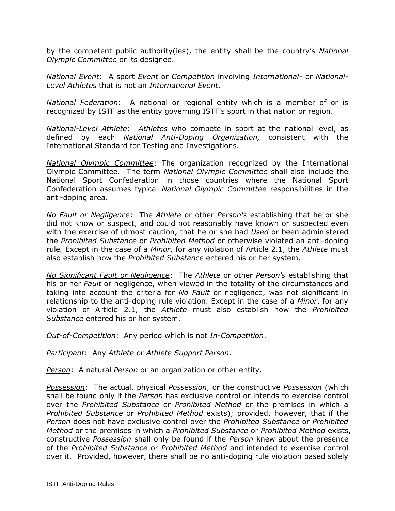by the competent public authority(ies), the entity shall be the country's *National Olympic Committee* or its designee.

*National Event*: A sport *Event* or *Competition* involving *International-* or *National-Level Athletes* that is not an *International Event*.

*National Federation*: A national or regional entity which is a member of or is recognized by ISTF as the entity governing ISTF's sport in that nation or region.

*National-Level Athlete*: *Athletes* who compete in sport at the national level, as defined by each *National Anti-Doping Organization,* consistent with the International Standard for Testing and Investigations.

*National Olympic Committee*: The organization recognized by the International Olympic Committee. The term *National Olympic Committee* shall also include the National Sport Confederation in those countries where the National Sport Confederation assumes typical *National Olympic Committee* responsibilities in the anti-doping area.

*No Fault or Negligence*: The *Athlete* or other *Person's* establishing that he or she did not know or suspect, and could not reasonably have known or suspected even with the exercise of utmost caution, that he or she had *Used* or been administered the *Prohibited Substance* or *Prohibited Method* or otherwise violated an anti-doping rule*.* Except in the case of a *Minor*, for any violation of Article 2.1, the *Athlete* must also establish how the *Prohibited Substance* entered his or her system.

*No Significant Fault or Negligence*: The *Athlete* or other *Person's* establishing that his or her *Fault* or negligence, when viewed in the totality of the circumstances and taking into account the criteria for *No Fault* or negligence, was not significant in relationship to the anti-doping rule violation. Except in the case of a *Minor*, for any violation of Article 2.1, the *Athlete* must also establish how the *Prohibited Substance* entered his or her system.

*Out-of-Competition*: Any period which is not *In-Competition*.

*Participant*: Any *Athlete* or *Athlete Support Person*.

*Person*: A natural *Person* or an organization or other entity.

*Possession*: The actual, physical *Possession*, or the constructive *Possession* (which shall be found only if the *Person* has exclusive control or intends to exercise control over the *Prohibited Substance* or *Prohibited Method* or the premises in which a *Prohibited Substance* or *Prohibited Method* exists); provided, however, that if the *Person* does not have exclusive control over the *Prohibited Substance* or *Prohibited Method* or the premises in which a *Prohibited Substance* or *Prohibited Method* exists, constructive *Possession* shall only be found if the *Person* knew about the presence of the *Prohibited Substance* or *Prohibited Method* and intended to exercise control over it. Provided, however, there shall be no anti-doping rule violation based solely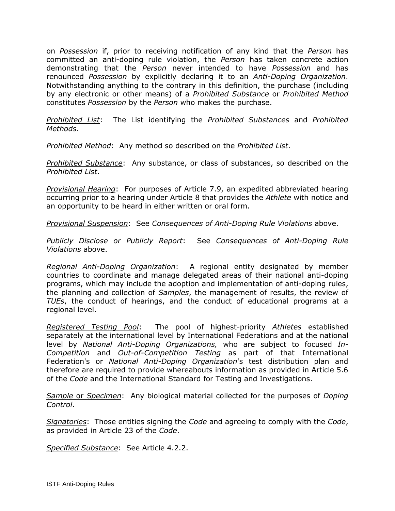on *Possession* if, prior to receiving notification of any kind that the *Person* has committed an anti-doping rule violation, the *Person* has taken concrete action demonstrating that the *Person* never intended to have *Possession* and has renounced *Possession* by explicitly declaring it to an *Anti-Doping Organization*. Notwithstanding anything to the contrary in this definition, the purchase (including by any electronic or other means) of a *Prohibited Substance* or *Prohibited Method* constitutes *Possession* by the *Person* who makes the purchase.

*Prohibited List*: The List identifying the *Prohibited Substances* and *Prohibited Methods*.

*Prohibited Method*: Any method so described on the *Prohibited List*.

*Prohibited Substance*: Any substance, or class of substances, so described on the *Prohibited List*.

*Provisional Hearing*: For purposes of Article 7.9, an expedited abbreviated hearing occurring prior to a hearing under Article 8 that provides the *Athlete* with notice and an opportunity to be heard in either written or oral form.

*Provisional Suspension*: See *Consequences of Anti-Doping Rule Violations* above.

*Publicly Disclose or Publicly Report*: See *Consequences of Anti-Doping Rule Violations* above.

*Regional Anti-Doping Organization*:A regional entity designated by member countries to coordinate and manage delegated areas of their national anti-doping programs, which may include the adoption and implementation of anti-doping rules, the planning and collection of *Samples*, the management of results, the review of *TUEs*, the conduct of hearings, and the conduct of educational programs at a regional level.

*Registered Testing Pool*: The pool of highest-priority *Athletes* established separately at the international level by International Federations and at the national level by *National Anti-Doping Organizations,* who are subject to focused *In-Competition* and *Out-of-Competition Testing* as part of that International Federation's or *National Anti-Doping Organization*'s test distribution plan and therefore are required to provide whereabouts information as provided in Article 5.6 of the *Code* and the International Standard for Testing and Investigations.

*Sample* or *Specimen*: Any biological material collected for the purposes of *Doping Control*.

*Signatories*: Those entities signing the *Code* and agreeing to comply with the *Code*, as provided in Article 23 of the *Code*.

*Specified Substance*:See Article 4.2.2.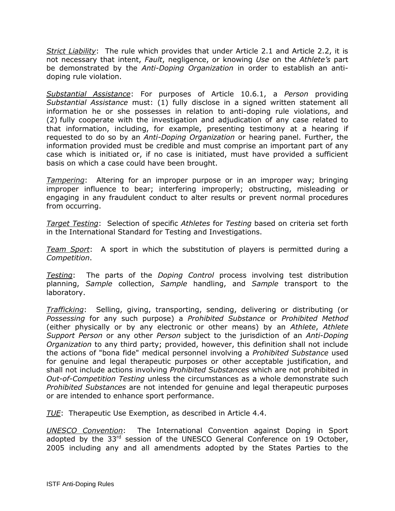*Strict Liability*: The rule which provides that under Article 2.1 and Article 2.2, it is not necessary that intent, *Fault*, negligence, or knowing *Use* on the *Athlete's* part be demonstrated by the *Anti-Doping Organization* in order to establish an antidoping rule violation.

*Substantial Assistance*: For purposes of Article 10.6.1, a *Person* providing *Substantial Assistance* must: (1) fully disclose in a signed written statement all information he or she possesses in relation to anti-doping rule violations, and (2) fully cooperate with the investigation and adjudication of any case related to that information, including, for example, presenting testimony at a hearing if requested to do so by an *Anti-Doping Organization* or hearing panel. Further, the information provided must be credible and must comprise an important part of any case which is initiated or, if no case is initiated, must have provided a sufficient basis on which a case could have been brought.

*Tampering*:Altering for an improper purpose or in an improper way; bringing improper influence to bear; interfering improperly; obstructing, misleading or engaging in any fraudulent conduct to alter results or prevent normal procedures from occurring.

*Target Testing*: Selection of specific *Athletes* for *Testing* based on criteria set forth in the International Standard for Testing and Investigations.

*Team Sport*: A sport in which the substitution of players is permitted during a *Competition*.

*Testing*: The parts of the *Doping Control* process involving test distribution planning, *Sample* collection, *Sample* handling, and *Sample* transport to the laboratory.

*Trafficking*: Selling, giving, transporting, sending, delivering or distributing (or *Possessing* for any such purpose) a *Prohibited Substance* or *Prohibited Method* (either physically or by any electronic or other means) by an *Athlete*, *Athlete Support Person* or any other *Person* subject to the jurisdiction of an *Anti-Doping Organization* to any third party; provided, however, this definition shall not include the actions of "bona fide" medical personnel involving a *Prohibited Substance* used for genuine and legal therapeutic purposes or other acceptable justification, and shall not include actions involving *Prohibited Substances* which are not prohibited in *Out-of-Competition Testing* unless the circumstances as a whole demonstrate such *Prohibited Substances* are not intended for genuine and legal therapeutic purposes or are intended to enhance sport performance.

*TUE*:Therapeutic Use Exemption, as described in Article 4.4.

*UNESCO Convention*: The International Convention against Doping in Sport adopted by the  $33<sup>rd</sup>$  session of the UNESCO General Conference on 19 October, 2005 including any and all amendments adopted by the States Parties to the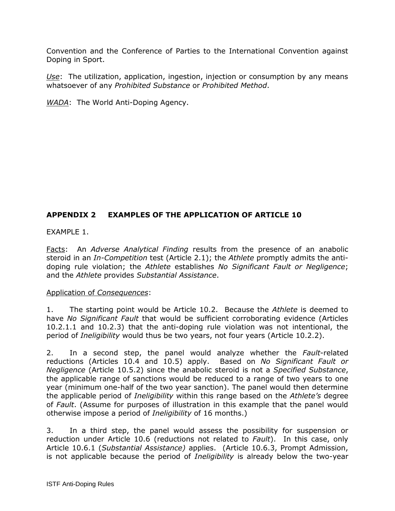Convention and the Conference of Parties to the International Convention against Doping in Sport.

*Use*: The utilization, application, ingestion, injection or consumption by any means whatsoever of any *Prohibited Substance* or *Prohibited Method*.

*WADA*: The World Anti-Doping Agency.

## <span id="page-62-0"></span>**APPENDIX 2 EXAMPLES OF THE APPLICATION OF ARTICLE 10**

EXAMPLE 1.

Facts: An *Adverse Analytical Finding* results from the presence of an anabolic steroid in an *In-Competition* test (Article 2.1); the *Athlete* promptly admits the antidoping rule violation; the *Athlete* establishes *No Significant Fault or Negligence*; and the *Athlete* provides *Substantial Assistance*.

#### Application of *Consequences*:

1. The starting point would be Article 10.2. Because the *Athlete* is deemed to have *No Significant Fault* that would be sufficient corroborating evidence (Articles 10.2.1.1 and 10.2.3) that the anti-doping rule violation was not intentional, the period of *Ineligibility* would thus be two years, not four years (Article 10.2.2).

2. In a second step, the panel would analyze whether the *Fault*-related reductions (Articles 10.4 and 10.5) apply. Based on *No Significant Fault or Negligence* (Article 10.5.2) since the anabolic steroid is not a *Specified Substance*, the applicable range of sanctions would be reduced to a range of two years to one year (minimum one-half of the two year sanction). The panel would then determine the applicable period of *Ineligibility* within this range based on the *Athlete's* degree of *Fault*. (Assume for purposes of illustration in this example that the panel would otherwise impose a period of *Ineligibility* of 16 months.)

3. In a third step, the panel would assess the possibility for suspension or reduction under Article 10.6 (reductions not related to *Fault*). In this case, only Article 10.6.1 (*Substantial Assistance)* applies. (Article 10.6.3, Prompt Admission, is not applicable because the period of *Ineligibility* is already below the two-year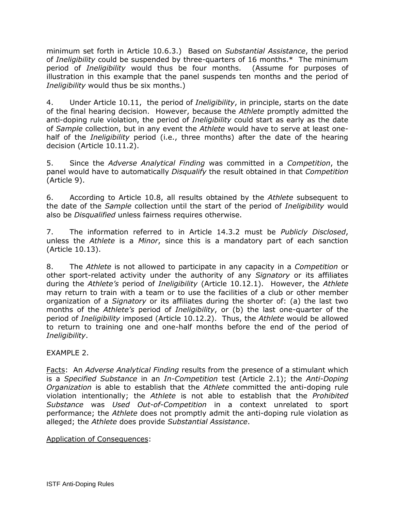minimum set forth in Article 10.6.3.) Based on *Substantial Assistance*, the period of *Ineligibility* could be suspended by three-quarters of 16 months.\* The minimum period of *Ineligibility* would thus be four months. (Assume for purposes of illustration in this example that the panel suspends ten months and the period of *Ineligibility* would thus be six months.)

4. Under Article 10.11, the period of *Ineligibility*, in principle, starts on the date of the final hearing decision. However, because the *Athlete* promptly admitted the anti-doping rule violation, the period of *Ineligibility* could start as early as the date of *Sample* collection, but in any event the *Athlete* would have to serve at least onehalf of the *Ineligibility* period (i.e., three months) after the date of the hearing decision (Article 10.11.2).

5. Since the *Adverse Analytical Finding* was committed in a *Competition*, the panel would have to automatically *Disqualify* the result obtained in that *Competition* (Article 9).

6. According to Article 10.8, all results obtained by the *Athlete* subsequent to the date of the *Sample* collection until the start of the period of *Ineligibility* would also be *Disqualified* unless fairness requires otherwise.

7. The information referred to in Article 14.3.2 must be *Publicly Disclosed*, unless the *Athlete* is a *Minor*, since this is a mandatory part of each sanction (Article 10.13).

8. The *Athlete* is not allowed to participate in any capacity in a *Competition* or other sport-related activity under the authority of any *Signatory* or its affiliates during the *Athlete's* period of *Ineligibility* (Article 10.12.1). However, the *Athlete* may return to train with a team or to use the facilities of a club or other member organization of a *Signatory* or its affiliates during the shorter of: (a) the last two months of the *Athlete's* period of *Ineligibility*, or (b) the last one-quarter of the period of *Ineligibility* imposed (Article 10.12.2). Thus, the *Athlete* would be allowed to return to training one and one-half months before the end of the period of *Ineligibility*.

EXAMPLE 2.

Facts: An *Adverse Analytical Finding* results from the presence of a stimulant which is a *Specified Substance* in an *In-Competition* test (Article 2.1); the *Anti-Doping Organization* is able to establish that the *Athlete* committed the anti-doping rule violation intentionally; the *Athlete* is not able to establish that the *Prohibited Substance* was *Used Out-of-Competition* in a context unrelated to sport performance; the *Athlete* does not promptly admit the anti-doping rule violation as alleged; the *Athlete* does provide *Substantial Assistance*.

Application of Consequences: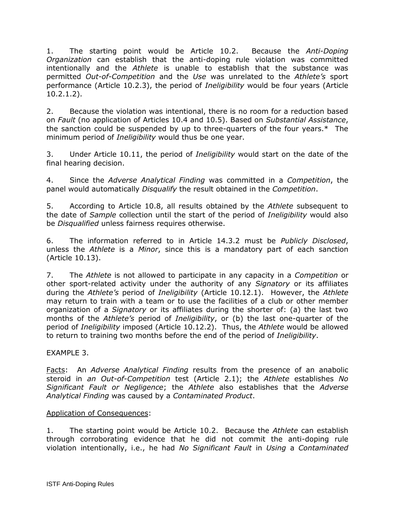1. The starting point would be Article 10.2. Because the *Anti-Doping Organization* can establish that the anti-doping rule violation was committed intentionally and the *Athlete* is unable to establish that the substance was permitted *Out-of-Competition* and the *Use* was unrelated to the *Athlete's* sport performance (Article 10.2.3), the period of *Ineligibility* would be four years (Article 10.2.1.2).

2. Because the violation was intentional, there is no room for a reduction based on *Fault* (no application of Articles 10.4 and 10.5). Based on *Substantial Assistance*, the sanction could be suspended by up to three-quarters of the four years.\* The minimum period of *Ineligibility* would thus be one year.

3. Under Article 10.11, the period of *Ineligibility* would start on the date of the final hearing decision.

4. Since the *Adverse Analytical Finding* was committed in a *Competition*, the panel would automatically *Disqualify* the result obtained in the *Competition*.

5. According to Article 10.8, all results obtained by the *Athlete* subsequent to the date of *Sample* collection until the start of the period of *Ineligibility* would also be *Disqualified* unless fairness requires otherwise.

6. The information referred to in Article 14.3.2 must be *Publicly Disclosed*, unless the *Athlete* is a *Minor*, since this is a mandatory part of each sanction (Article 10.13).

7. The *Athlete* is not allowed to participate in any capacity in a *Competition* or other sport-related activity under the authority of any *Signatory* or its affiliates during the *Athlete's* period of *Ineligibility* (Article 10.12.1). However, the *Athlete* may return to train with a team or to use the facilities of a club or other member organization of a *Signatory* or its affiliates during the shorter of: (a) the last two months of the *Athlete's* period of *Ineligibility*, or (b) the last one-quarter of the period of *Ineligibility* imposed (Article 10.12.2). Thus, the *Athlete* would be allowed to return to training two months before the end of the period of *Ineligibility*.

EXAMPLE 3.

Facts: An *Adverse Analytical Finding* results from the presence of an anabolic steroid in *an Out-of-Competition* test (Article 2.1); the *Athlete* establishes *No Significant Fault or Negligence*; the *Athlete* also establishes that the *Adverse Analytical Finding* was caused by a *Contaminated Product*.

## Application of Consequences:

1. The starting point would be Article 10.2. Because the *Athlete* can establish through corroborating evidence that he did not commit the anti-doping rule violation intentionally, i.e., he had *No Significant Fault* in *Using* a *Contaminated*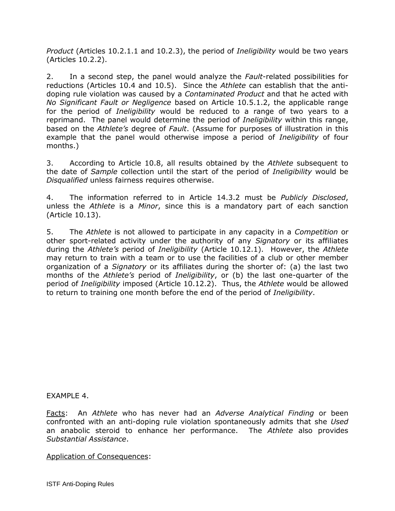*Product* (Articles 10.2.1.1 and 10.2.3), the period of *Ineligibility* would be two years (Articles 10.2.2).

2. In a second step, the panel would analyze the *Fault*-related possibilities for reductions (Articles 10.4 and 10.5). Since the *Athlete* can establish that the antidoping rule violation was caused by a *Contaminated Product* and that he acted with *No Significant Fault or Negligence* based on Article 10.5.1.2, the applicable range for the period of *Ineligibility* would be reduced to a range of two years to a reprimand. The panel would determine the period of *Ineligibility* within this range, based on the *Athlete's* degree of *Fault*. (Assume for purposes of illustration in this example that the panel would otherwise impose a period of *Ineligibility* of four months.)

3. According to Article 10.8, all results obtained by the *Athlete* subsequent to the date of *Sample* collection until the start of the period of *Ineligibility* would be *Disqualified* unless fairness requires otherwise.

4. The information referred to in Article 14.3.2 must be *Publicly Disclosed*, unless the *Athlete* is a *Minor*, since this is a mandatory part of each sanction (Article 10.13).

5. The *Athlete* is not allowed to participate in any capacity in a *Competition* or other sport-related activity under the authority of any *Signatory* or its affiliates during the *Athlete's* period of *Ineligibility* (Article 10.12.1). However, the *Athlete* may return to train with a team or to use the facilities of a club or other member organization of a *Signatory* or its affiliates during the shorter of: (a) the last two months of the *Athlete's* period of *Ineligibility*, or (b) the last one-quarter of the period of *Ineligibility* imposed (Article 10.12.2). Thus, the *Athlete* would be allowed to return to training one month before the end of the period of *Ineligibility*.

EXAMPLE 4.

Facts: An *Athlete* who has never had an *Adverse Analytical Finding* or been confronted with an anti-doping rule violation spontaneously admits that she *Used* an anabolic steroid to enhance her performance. The *Athlete* also provides *Substantial Assistance*.

Application of Consequences: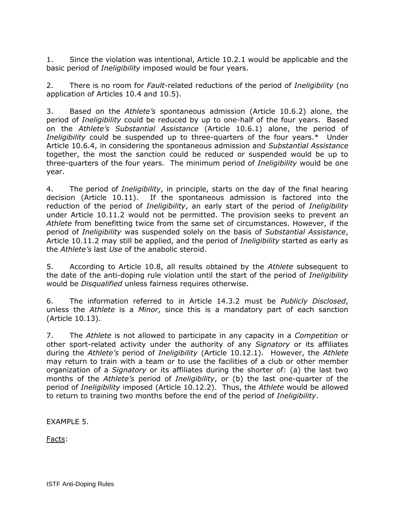1. Since the violation was intentional, Article 10.2.1 would be applicable and the basic period of *Ineligibility* imposed would be four years.

2. There is no room for *Fault*-related reductions of the period of *Ineligibility* (no application of Articles 10.4 and 10.5).

3. Based on the *Athlete's* spontaneous admission (Article 10.6.2) alone, the period of *Ineligibility* could be reduced by up to one-half of the four years. Based on the *Athlete's Substantial Assistance* (Article 10.6.1) alone, the period of *Ineligibility* could be suspended up to three-quarters of the four years.\* Under Article 10.6.4, in considering the spontaneous admission and *Substantial Assistance* together, the most the sanction could be reduced or suspended would be up to three-quarters of the four years. The minimum period of *Ineligibility* would be one year.

4. The period of *Ineligibility*, in principle, starts on the day of the final hearing decision (Article 10.11). If the spontaneous admission is factored into the reduction of the period of *Ineligibility*, an early start of the period of *Ineligibility* under Article 10.11.2 would not be permitted. The provision seeks to prevent an *Athlete* from benefitting twice from the same set of circumstances. However, if the period of *Ineligibility* was suspended solely on the basis of *Substantial Assistance*, Article 10.11.2 may still be applied, and the period of *Ineligibility* started as early as the *Athlete's* last *Use* of the anabolic steroid.

5. According to Article 10.8, all results obtained by the *Athlete* subsequent to the date of the anti-doping rule violation until the start of the period of *Ineligibility* would be *Disqualified* unless fairness requires otherwise.

6. The information referred to in Article 14.3.2 must be *Publicly Disclosed*, unless the *Athlete* is a *Minor*, since this is a mandatory part of each sanction (Article 10.13).

7. The *Athlete* is not allowed to participate in any capacity in a *Competition* or other sport-related activity under the authority of any *Signatory* or its affiliates during the *Athlete's* period of *Ineligibility* (Article 10.12.1). However, the *Athlete* may return to train with a team or to use the facilities of a club or other member organization of a *Signatory* or its affiliates during the shorter of: (a) the last two months of the *Athlete's* period of *Ineligibility*, or (b) the last one-quarter of the period of *Ineligibility* imposed (Article 10.12.2). Thus, the *Athlete* would be allowed to return to training two months before the end of the period of *Ineligibility*.

EXAMPLE 5.

Facts: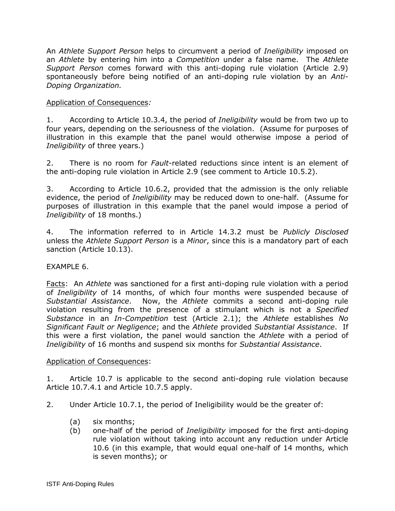An *Athlete Support Person* helps to circumvent a period of *Ineligibility* imposed on an *Athlete* by entering him into a *Competition* under a false name. The *Athlete Support Person* comes forward with this anti-doping rule violation (Article 2.9) spontaneously before being notified of an anti-doping rule violation by an *Anti-Doping Organization.*

#### Application of Consequences*:*

1. According to Article 10.3.4, the period of *Ineligibility* would be from two up to four years, depending on the seriousness of the violation. (Assume for purposes of illustration in this example that the panel would otherwise impose a period of *Ineligibility* of three years.)

2. There is no room for *Fault*-related reductions since intent is an element of the anti-doping rule violation in Article 2.9 (see comment to Article 10.5.2).

3. According to Article 10.6.2, provided that the admission is the only reliable evidence, the period of *Ineligibility* may be reduced down to one-half. (Assume for purposes of illustration in this example that the panel would impose a period of *Ineligibility* of 18 months.)

4. The information referred to in Article 14.3.2 must be *Publicly Disclosed* unless the *Athlete Support Person* is a *Minor*, since this is a mandatory part of each sanction (Article 10.13).

## EXAMPLE 6.

Facts: An *Athlete* was sanctioned for a first anti-doping rule violation with a period of *Ineligibility* of 14 months, of which four months were suspended because of *Substantial Assistance*. Now, the *Athlete* commits a second anti-doping rule violation resulting from the presence of a stimulant which is not a *Specified Substance* in an *In-Competition* test (Article 2.1); the *Athlete* establishes *No Significant Fault or Negligence*; and the *Athlete* provided *Substantial Assistance*. If this were a first violation, the panel would sanction the *Athlete* with a period of *Ineligibility* of 16 months and suspend six months for *Substantial Assistance*.

#### Application of Consequences:

1. Article 10.7 is applicable to the second anti-doping rule violation because Article 10.7.4.1 and Article 10.7.5 apply.

2. Under Article 10.7.1, the period of Ineligibility would be the greater of:

- (a) six months;
- (b) one-half of the period of *Ineligibility* imposed for the first anti-doping rule violation without taking into account any reduction under Article 10.6 (in this example, that would equal one-half of 14 months, which is seven months); or